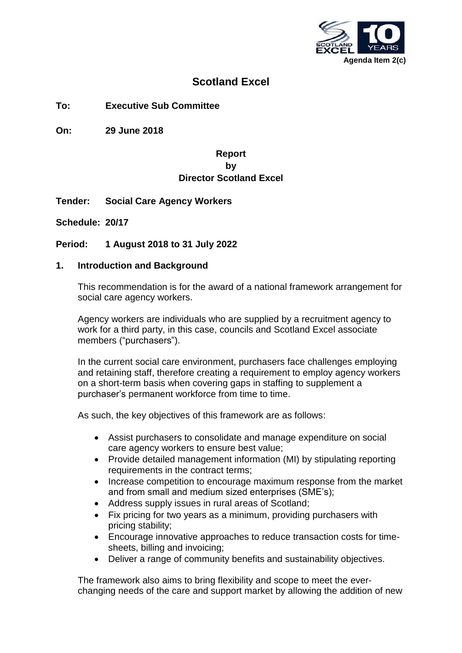

## **Scotland Excel**

**To: Executive Sub Committee**

**On: 29 June 2018**

## **Report by Director Scotland Excel**

- **Tender: Social Care Agency Workers**
- **Schedule: 20/17**

**Period: 1 August 2018 to 31 July 2022**

#### **1. Introduction and Background**

This recommendation is for the award of a national framework arrangement for social care agency workers.

Agency workers are individuals who are supplied by a recruitment agency to work for a third party, in this case, councils and Scotland Excel associate members ("purchasers").

In the current social care environment, purchasers face challenges employing and retaining staff, therefore creating a requirement to employ agency workers on a short-term basis when covering gaps in staffing to supplement a purchaser's permanent workforce from time to time.

As such, the key objectives of this framework are as follows:

- Assist purchasers to consolidate and manage expenditure on social care agency workers to ensure best value;
- Provide detailed management information (MI) by stipulating reporting requirements in the contract terms;
- Increase competition to encourage maximum response from the market and from small and medium sized enterprises (SME's);
- Address supply issues in rural areas of Scotland;
- Fix pricing for two years as a minimum, providing purchasers with pricing stability;
- Encourage innovative approaches to reduce transaction costs for timesheets, billing and invoicing;
- Deliver a range of community benefits and sustainability objectives.

The framework also aims to bring flexibility and scope to meet the everchanging needs of the care and support market by allowing the addition of new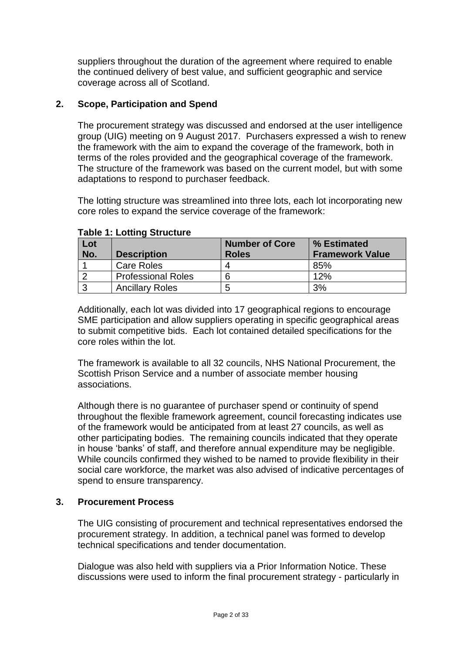suppliers throughout the duration of the agreement where required to enable the continued delivery of best value, and sufficient geographic and service coverage across all of Scotland.

#### **2. Scope, Participation and Spend**

The procurement strategy was discussed and endorsed at the user intelligence group (UIG) meeting on 9 August 2017. Purchasers expressed a wish to renew the framework with the aim to expand the coverage of the framework, both in terms of the roles provided and the geographical coverage of the framework. The structure of the framework was based on the current model, but with some adaptations to respond to purchaser feedback.

The lotting structure was streamlined into three lots, each lot incorporating new core roles to expand the service coverage of the framework:

| Lot |                           | <b>Number of Core</b> | % Estimated            |
|-----|---------------------------|-----------------------|------------------------|
| No. | <b>Description</b>        | <b>Roles</b>          | <b>Framework Value</b> |
|     | Care Roles                |                       | 85%                    |
|     | <b>Professional Roles</b> | 6                     | 12%                    |
|     | <b>Ancillary Roles</b>    | 5                     | 3%                     |

#### **Table 1: Lotting Structure**

Additionally, each lot was divided into 17 geographical regions to encourage SME participation and allow suppliers operating in specific geographical areas to submit competitive bids. Each lot contained detailed specifications for the core roles within the lot.

The framework is available to all 32 councils, NHS National Procurement, the Scottish Prison Service and a number of associate member housing associations.

Although there is no guarantee of purchaser spend or continuity of spend throughout the flexible framework agreement, council forecasting indicates use of the framework would be anticipated from at least 27 councils, as well as other participating bodies. The remaining councils indicated that they operate in house 'banks' of staff, and therefore annual expenditure may be negligible. While councils confirmed they wished to be named to provide flexibility in their social care workforce, the market was also advised of indicative percentages of spend to ensure transparency.

#### **3. Procurement Process**

The UIG consisting of procurement and technical representatives endorsed the procurement strategy. In addition, a technical panel was formed to develop technical specifications and tender documentation.

Dialogue was also held with suppliers via a Prior Information Notice. These discussions were used to inform the final procurement strategy - particularly in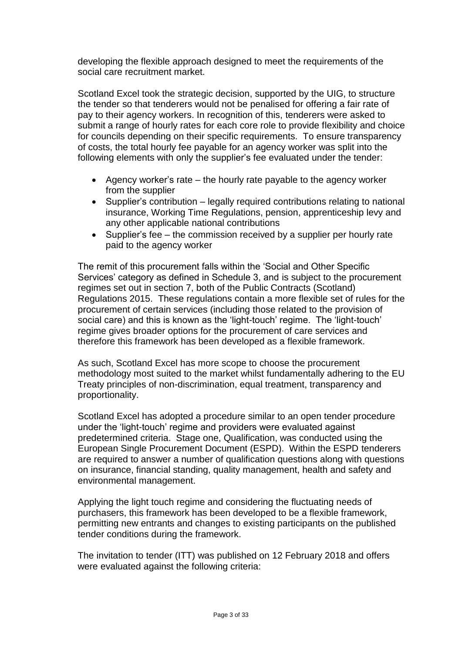developing the flexible approach designed to meet the requirements of the social care recruitment market.

Scotland Excel took the strategic decision, supported by the UIG, to structure the tender so that tenderers would not be penalised for offering a fair rate of pay to their agency workers. In recognition of this, tenderers were asked to submit a range of hourly rates for each core role to provide flexibility and choice for councils depending on their specific requirements. To ensure transparency of costs, the total hourly fee payable for an agency worker was split into the following elements with only the supplier's fee evaluated under the tender:

- Agency worker's rate the hourly rate payable to the agency worker from the supplier
- Supplier's contribution legally required contributions relating to national insurance, Working Time Regulations, pension, apprenticeship levy and any other applicable national contributions
- Supplier's fee the commission received by a supplier per hourly rate paid to the agency worker

The remit of this procurement falls within the 'Social and Other Specific Services' category as defined in Schedule 3, and is subject to the procurement regimes set out in section 7, both of the Public Contracts (Scotland) Regulations 2015. These regulations contain a more flexible set of rules for the procurement of certain services (including those related to the provision of social care) and this is known as the 'light-touch' regime. The 'light-touch' regime gives broader options for the procurement of care services and therefore this framework has been developed as a flexible framework.

As such, Scotland Excel has more scope to choose the procurement methodology most suited to the market whilst fundamentally adhering to the EU Treaty principles of non-discrimination, equal treatment, transparency and proportionality.

Scotland Excel has adopted a procedure similar to an open tender procedure under the 'light-touch' regime and providers were evaluated against predetermined criteria. Stage one, Qualification, was conducted using the European Single Procurement Document (ESPD). Within the ESPD tenderers are required to answer a number of qualification questions along with questions on insurance, financial standing, quality management, health and safety and environmental management.

Applying the light touch regime and considering the fluctuating needs of purchasers, this framework has been developed to be a flexible framework, permitting new entrants and changes to existing participants on the published tender conditions during the framework.

The invitation to tender (ITT) was published on 12 February 2018 and offers were evaluated against the following criteria: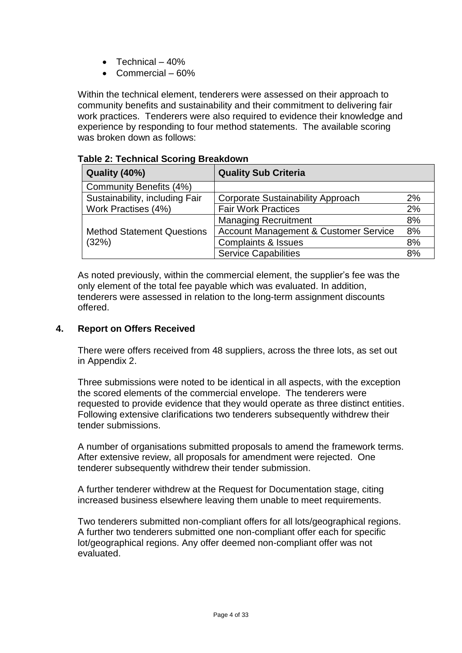- Technical  $-40%$
- Commercial 60%

Within the technical element, tenderers were assessed on their approach to community benefits and sustainability and their commitment to delivering fair work practices. Tenderers were also required to evidence their knowledge and experience by responding to four method statements. The available scoring was broken down as follows:

|  |  |  |  |  | <b>Table 2: Technical Scoring Breakdown</b> |
|--|--|--|--|--|---------------------------------------------|
|--|--|--|--|--|---------------------------------------------|

| Quality (40%)                     | <b>Quality Sub Criteria</b>                      |    |
|-----------------------------------|--------------------------------------------------|----|
| Community Benefits (4%)           |                                                  |    |
| Sustainability, including Fair    | <b>Corporate Sustainability Approach</b>         | 2% |
| Work Practises (4%)               | <b>Fair Work Practices</b>                       | 2% |
|                                   | <b>Managing Recruitment</b>                      | 8% |
| <b>Method Statement Questions</b> | <b>Account Management &amp; Customer Service</b> | 8% |
| (32%)                             | <b>Complaints &amp; Issues</b>                   | 8% |
|                                   | <b>Service Capabilities</b>                      | 8% |

As noted previously, within the commercial element, the supplier's fee was the only element of the total fee payable which was evaluated. In addition, tenderers were assessed in relation to the long-term assignment discounts offered.

## **4. Report on Offers Received**

There were offers received from 48 suppliers, across the three lots, as set out in Appendix 2.

Three submissions were noted to be identical in all aspects, with the exception the scored elements of the commercial envelope. The tenderers were requested to provide evidence that they would operate as three distinct entities. Following extensive clarifications two tenderers subsequently withdrew their tender submissions.

A number of organisations submitted proposals to amend the framework terms. After extensive review, all proposals for amendment were rejected. One tenderer subsequently withdrew their tender submission.

A further tenderer withdrew at the Request for Documentation stage, citing increased business elsewhere leaving them unable to meet requirements.

Two tenderers submitted non-compliant offers for all lots/geographical regions. A further two tenderers submitted one non-compliant offer each for specific lot/geographical regions. Any offer deemed non-compliant offer was not evaluated.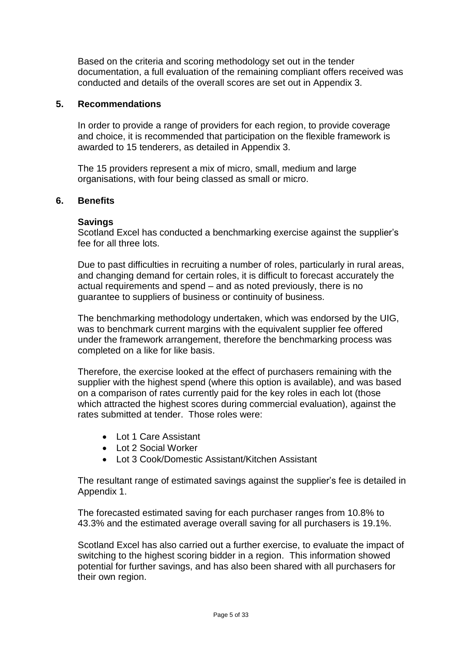Based on the criteria and scoring methodology set out in the tender documentation, a full evaluation of the remaining compliant offers received was conducted and details of the overall scores are set out in Appendix 3.

#### **5. Recommendations**

In order to provide a range of providers for each region, to provide coverage and choice, it is recommended that participation on the flexible framework is awarded to 15 tenderers, as detailed in Appendix 3.

The 15 providers represent a mix of micro, small, medium and large organisations, with four being classed as small or micro.

#### **6. Benefits**

#### **Savings**

Scotland Excel has conducted a benchmarking exercise against the supplier's fee for all three lots.

Due to past difficulties in recruiting a number of roles, particularly in rural areas, and changing demand for certain roles, it is difficult to forecast accurately the actual requirements and spend – and as noted previously, there is no guarantee to suppliers of business or continuity of business.

The benchmarking methodology undertaken, which was endorsed by the UIG, was to benchmark current margins with the equivalent supplier fee offered under the framework arrangement, therefore the benchmarking process was completed on a like for like basis.

Therefore, the exercise looked at the effect of purchasers remaining with the supplier with the highest spend (where this option is available), and was based on a comparison of rates currently paid for the key roles in each lot (those which attracted the highest scores during commercial evaluation), against the rates submitted at tender. Those roles were:

- Lot 1 Care Assistant
- Lot 2 Social Worker
- Lot 3 Cook/Domestic Assistant/Kitchen Assistant

The resultant range of estimated savings against the supplier's fee is detailed in Appendix 1.

The forecasted estimated saving for each purchaser ranges from 10.8% to 43.3% and the estimated average overall saving for all purchasers is 19.1%.

Scotland Excel has also carried out a further exercise, to evaluate the impact of switching to the highest scoring bidder in a region. This information showed potential for further savings, and has also been shared with all purchasers for their own region.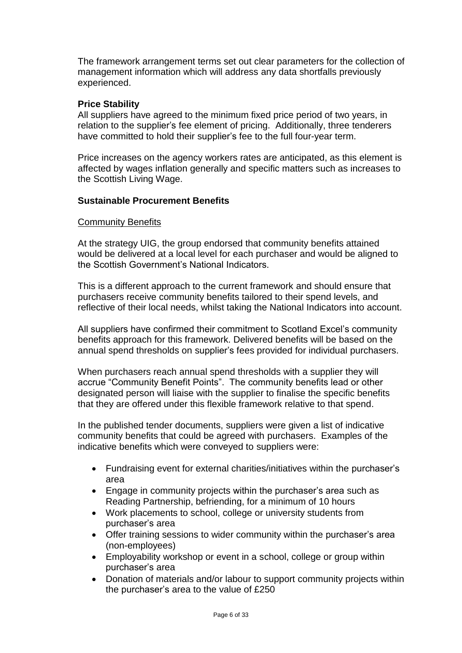The framework arrangement terms set out clear parameters for the collection of management information which will address any data shortfalls previously experienced.

#### **Price Stability**

All suppliers have agreed to the minimum fixed price period of two years, in relation to the supplier's fee element of pricing. Additionally, three tenderers have committed to hold their supplier's fee to the full four-year term.

Price increases on the agency workers rates are anticipated, as this element is affected by wages inflation generally and specific matters such as increases to the Scottish Living Wage.

#### **Sustainable Procurement Benefits**

#### Community Benefits

At the strategy UIG, the group endorsed that community benefits attained would be delivered at a local level for each purchaser and would be aligned to the Scottish Government's National Indicators.

This is a different approach to the current framework and should ensure that purchasers receive community benefits tailored to their spend levels, and reflective of their local needs, whilst taking the National Indicators into account.

All suppliers have confirmed their commitment to Scotland Excel's community benefits approach for this framework. Delivered benefits will be based on the annual spend thresholds on supplier's fees provided for individual purchasers.

When purchasers reach annual spend thresholds with a supplier they will accrue "Community Benefit Points". The community benefits lead or other designated person will liaise with the supplier to finalise the specific benefits that they are offered under this flexible framework relative to that spend.

In the published tender documents, suppliers were given a list of indicative community benefits that could be agreed with purchasers. Examples of the indicative benefits which were conveyed to suppliers were:

- Fundraising event for external charities/initiatives within the purchaser's area
- Engage in community projects within the purchaser's area such as Reading Partnership, befriending, for a minimum of 10 hours
- Work placements to school, college or university students from purchaser's area
- Offer training sessions to wider community within the purchaser's area (non-employees)
- Employability workshop or event in a school, college or group within purchaser's area
- Donation of materials and/or labour to support community projects within the purchaser's area to the value of £250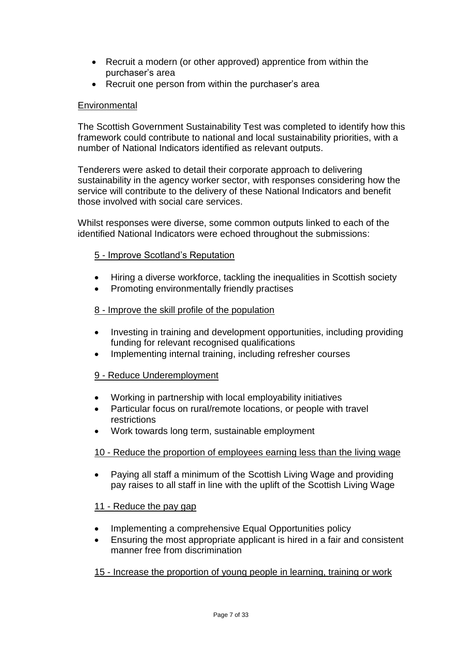- Recruit a modern (or other approved) apprentice from within the purchaser's area
- Recruit one person from within the purchaser's area

## **Environmental**

The Scottish Government Sustainability Test was completed to identify how this framework could contribute to national and local sustainability priorities, with a number of National Indicators identified as relevant outputs.

Tenderers were asked to detail their corporate approach to delivering sustainability in the agency worker sector, with responses considering how the service will contribute to the delivery of these National Indicators and benefit those involved with social care services.

Whilst responses were diverse, some common outputs linked to each of the identified National Indicators were echoed throughout the submissions:

## 5 - Improve Scotland's Reputation

- Hiring a diverse workforce, tackling the inequalities in Scottish society
- Promoting environmentally friendly practises

#### 8 - Improve the skill profile of the population

- Investing in training and development opportunities, including providing funding for relevant recognised qualifications
- Implementing internal training, including refresher courses

## 9 - Reduce Underemployment

- Working in partnership with local employability initiatives
- Particular focus on rural/remote locations, or people with travel restrictions
- Work towards long term, sustainable employment

## 10 - Reduce the proportion of employees earning less than the living wage

• Paying all staff a minimum of the Scottish Living Wage and providing pay raises to all staff in line with the uplift of the Scottish Living Wage

## 11 - Reduce the pay gap

- Implementing a comprehensive Equal Opportunities policy
- Ensuring the most appropriate applicant is hired in a fair and consistent manner free from discrimination

## 15 - Increase the proportion of young people in learning, training or work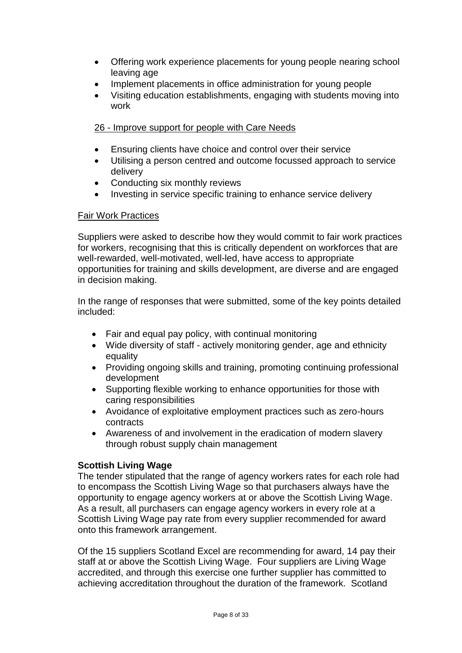- Offering work experience placements for young people nearing school leaving age
- Implement placements in office administration for young people
- Visiting education establishments, engaging with students moving into work

## 26 - Improve support for people with Care Needs

- Ensuring clients have choice and control over their service
- Utilising a person centred and outcome focussed approach to service delivery
- Conducting six monthly reviews
- Investing in service specific training to enhance service delivery

#### Fair Work Practices

Suppliers were asked to describe how they would commit to fair work practices for workers, recognising that this is critically dependent on workforces that are well-rewarded, well-motivated, well-led, have access to appropriate opportunities for training and skills development, are diverse and are engaged in decision making.

In the range of responses that were submitted, some of the key points detailed included:

- Fair and equal pay policy, with continual monitoring
- Wide diversity of staff actively monitoring gender, age and ethnicity equality
- Providing ongoing skills and training, promoting continuing professional development
- Supporting flexible working to enhance opportunities for those with caring responsibilities
- Avoidance of exploitative employment practices such as zero-hours contracts
- Awareness of and involvement in the eradication of modern slavery through robust supply chain management

## **Scottish Living Wage**

The tender stipulated that the range of agency workers rates for each role had to encompass the Scottish Living Wage so that purchasers always have the opportunity to engage agency workers at or above the Scottish Living Wage. As a result, all purchasers can engage agency workers in every role at a Scottish Living Wage pay rate from every supplier recommended for award onto this framework arrangement.

Of the 15 suppliers Scotland Excel are recommending for award, 14 pay their staff at or above the Scottish Living Wage. Four suppliers are Living Wage accredited, and through this exercise one further supplier has committed to achieving accreditation throughout the duration of the framework. Scotland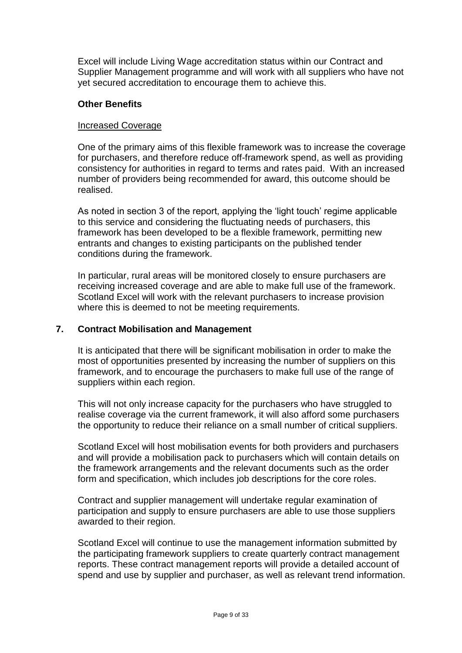Excel will include Living Wage accreditation status within our Contract and Supplier Management programme and will work with all suppliers who have not yet secured accreditation to encourage them to achieve this.

#### **Other Benefits**

#### Increased Coverage

One of the primary aims of this flexible framework was to increase the coverage for purchasers, and therefore reduce off-framework spend, as well as providing consistency for authorities in regard to terms and rates paid. With an increased number of providers being recommended for award, this outcome should be realised.

As noted in section 3 of the report, applying the 'light touch' regime applicable to this service and considering the fluctuating needs of purchasers, this framework has been developed to be a flexible framework, permitting new entrants and changes to existing participants on the published tender conditions during the framework.

In particular, rural areas will be monitored closely to ensure purchasers are receiving increased coverage and are able to make full use of the framework. Scotland Excel will work with the relevant purchasers to increase provision where this is deemed to not be meeting requirements.

#### **7. Contract Mobilisation and Management**

It is anticipated that there will be significant mobilisation in order to make the most of opportunities presented by increasing the number of suppliers on this framework, and to encourage the purchasers to make full use of the range of suppliers within each region.

This will not only increase capacity for the purchasers who have struggled to realise coverage via the current framework, it will also afford some purchasers the opportunity to reduce their reliance on a small number of critical suppliers.

Scotland Excel will host mobilisation events for both providers and purchasers and will provide a mobilisation pack to purchasers which will contain details on the framework arrangements and the relevant documents such as the order form and specification, which includes job descriptions for the core roles.

Contract and supplier management will undertake regular examination of participation and supply to ensure purchasers are able to use those suppliers awarded to their region.

Scotland Excel will continue to use the management information submitted by the participating framework suppliers to create quarterly contract management reports. These contract management reports will provide a detailed account of spend and use by supplier and purchaser, as well as relevant trend information.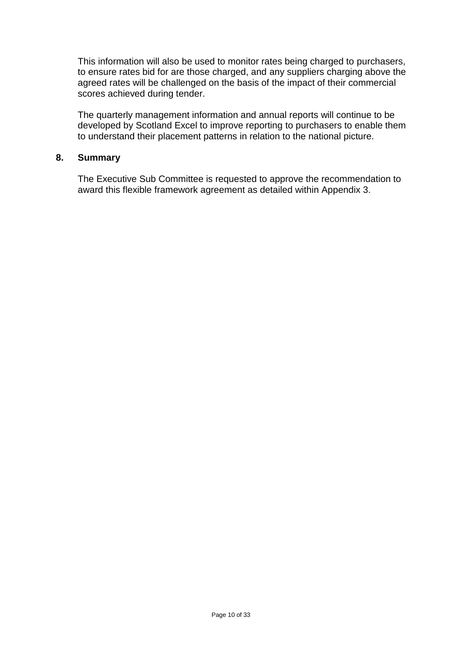This information will also be used to monitor rates being charged to purchasers, to ensure rates bid for are those charged, and any suppliers charging above the agreed rates will be challenged on the basis of the impact of their commercial scores achieved during tender.

The quarterly management information and annual reports will continue to be developed by Scotland Excel to improve reporting to purchasers to enable them to understand their placement patterns in relation to the national picture.

#### **8. Summary**

The Executive Sub Committee is requested to approve the recommendation to award this flexible framework agreement as detailed within Appendix 3.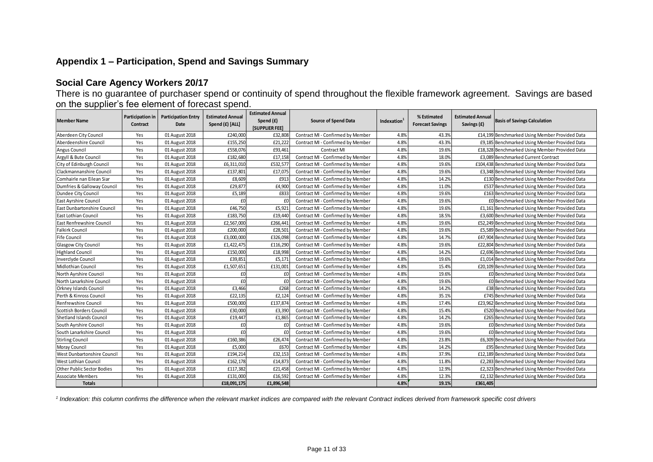#### **Appendix 1 – Participation, Spend and Savings Summary**

#### **Social Care Agency Workers 20/17**

There is no guarantee of purchaser spend or continuity of spend throughout the flexible framework agreement. Savings are based on the supplier's fee element of forecast spend.

| <b>Member Name</b>              | Contract | Participation in   Participation Entry<br>Date | <b>Estimated Annual</b><br>Spend (£) [ALL] | <b>Estimated Annual</b><br>Spend (£)<br><b>[SUPPLIER FEE]</b> | <b>Source of Spend Data</b>       | Indexation <sup>1</sup> | % Estimated<br><b>Forecast Savings</b> | <b>Estimated Annual</b><br>Savings (£) | <b>Basis of Savings Calculation</b>             |
|---------------------------------|----------|------------------------------------------------|--------------------------------------------|---------------------------------------------------------------|-----------------------------------|-------------------------|----------------------------------------|----------------------------------------|-------------------------------------------------|
| Aberdeen City Council           | Yes      | 01 August 2018                                 | £240,000                                   | £32,808                                                       | Contract MI - Confirmed by Member | 4.8%                    | 43.3%                                  |                                        | £14,199 Benchmarked Using Member Provided Data  |
| Aberdeenshire Council           | Yes      | 01 August 2018                                 | £155,250                                   | £21,222                                                       | Contract MI - Confirmed by Member | 4.8%                    | 43.3%                                  |                                        | £9,185 Benchmarked Using Member Provided Data   |
| Angus Council                   | Yes      | 01 August 2018                                 | £558,076                                   | £93,461                                                       | <b>Contract MI</b>                | 4.8%                    | 19.6%                                  |                                        | £18,328 Benchmarked Using Member Provided Data  |
| Argyll & Bute Council           | Yes      | 01 August 2018                                 | £182,680                                   | £17,158                                                       | Contract MI - Confirmed by Member | 4.8%                    | 18.0%                                  |                                        | £3,089 Benchmarked Current Contract             |
| City of Edinburgh Council       | Yes      | 01 August 2018                                 | £6,311,010                                 | £532,577                                                      | Contract MI - Confirmed by Member | 4.8%                    | 19.6%                                  |                                        | £104,438 Benchmarked Using Member Provided Data |
| Clackmannanshire Council        | Yes      | 01 August 2018                                 | £137,801                                   | £17,075                                                       | Contract MI - Confirmed by Member | 4.8%                    | 19.6%                                  |                                        | £3,348 Benchmarked Using Member Provided Data   |
| Comhairle nan Eilean Siar       | Yes      | 01 August 2018                                 | £8,609                                     | £913                                                          | Contract MI - Confirmed by Member | 4.8%                    | 14.2%                                  |                                        | £130 Benchmarked Using Member Provided Data     |
| Dumfries & Galloway Council     | Yes      | 01 August 2018                                 | £29,877                                    | £4,900                                                        | Contract MI - Confirmed by Member | 4.8%                    | 11.0%                                  |                                        | £537 Benchmarked Using Member Provided Data     |
| Dundee City Council             | Yes      | 01 August 2018                                 | £5,189                                     | £833                                                          | Contract MI - Confirmed by Member | 4.8%                    | 19.6%                                  |                                        | £163 Benchmarked Using Member Provided Data     |
| East Ayrshire Council           | Yes      | 01 August 2018                                 | £0                                         | £0                                                            | Contract MI - Confirmed by Member | 4.8%                    | 19.6%                                  | £0                                     | Benchmarked Using Member Provided Data          |
| East Dunbartonshire Council     | Yes      | 01 August 2018                                 | £46,750                                    | £5.921                                                        | Contract MI - Confirmed by Member | 4.8%                    | 19.6%                                  | £1.161                                 | Benchmarked Using Member Provided Data          |
| East Lothian Council            | Yes      | 01 August 2018                                 | £183,750                                   | £19,440                                                       | Contract MI - Confirmed by Member | 4.8%                    | 18.5%                                  |                                        | £3,600 Benchmarked Using Member Provided Data   |
| East Renfrewshire Council       | Yes      | 01 August 2018                                 | £2,567,000                                 | £266.441                                                      | Contract MI - Confirmed by Member | 4.8%                    | 19.6%                                  |                                        | £52,249 Benchmarked Using Member Provided Data  |
| <b>Falkirk Council</b>          | Yes      | 01 August 2018                                 | £200,000                                   | £28.501                                                       | Contract MI - Confirmed by Member | 4.8%                    | 19.6%                                  |                                        | £5,589 Benchmarked Using Member Provided Data   |
| <b>Fife Council</b>             | Yes      | 01 August 2018                                 | £3,000,000                                 | £326.098                                                      | Contract MI - Confirmed by Member | 4.8%                    | 14.7%                                  |                                        | £47,904 Benchmarked Using Member Provided Data  |
| <b>Glasgow City Council</b>     | Yes      | 01 August 2018                                 | £1,422,475                                 | £116,290                                                      | Contract MI - Confirmed by Member | 4.8%                    | 19.6%                                  |                                        | £22,804 Benchmarked Using Member Provided Data  |
| <b>Highland Council</b>         | Yes      | 01 August 2018                                 | £150,000                                   | £18.998                                                       | Contract MI - Confirmed by Member | 4.8%                    | 14.2%                                  |                                        | £2,696 Benchmarked Using Member Provided Data   |
| Inverclyde Council              | Yes      | 01 August 2018                                 | £39,851                                    | £5,171                                                        | Contract MI - Confirmed by Member | 4.8%                    | 19.6%                                  |                                        | £1,014 Benchmarked Using Member Provided Data   |
| <b>Midlothian Council</b>       | Yes      | 01 August 2018                                 | £1,507,651                                 | £131,001                                                      | Contract MI - Confirmed by Member | 4.8%                    | 15.4%                                  |                                        | £20,109 Benchmarked Using Member Provided Data  |
| North Ayrshire Council          | Yes      | 01 August 2018                                 | £0                                         | £0                                                            | Contract MI - Confirmed by Member | 4.8%                    | 19.6%                                  |                                        | £0 Benchmarked Using Member Provided Data       |
| North Lanarkshire Council       | Yes      | 01 August 2018                                 | £0                                         | £0                                                            | Contract MI - Confirmed by Member | 4.8%                    | 19.6%                                  |                                        | £0 Benchmarked Using Member Provided Data       |
| Orkney Islands Council          | Yes      | 01 August 2018                                 | £3,466                                     | £268                                                          | Contract MI - Confirmed by Member | 4.8%                    | 14.2%                                  |                                        | £38 Benchmarked Using Member Provided Data      |
| Perth & Kinross Council         | Yes      | 01 August 2018                                 | £22,135                                    | £2.124                                                        | Contract MI - Confirmed by Member | 4.8%                    | 35.1%                                  |                                        | £745 Benchmarked Using Member Provided Data     |
| Renfrewshire Council            | Yes      | 01 August 2018                                 | £500,000                                   | £137.874                                                      | Contract MI - Confirmed by Member | 4.8%                    | 17.4%                                  |                                        | £23,962 Benchmarked Using Member Provided Data  |
| Scottish Borders Council        | Yes      | 01 August 2018                                 | £30,000                                    | £3,390                                                        | Contract MI - Confirmed by Member | 4.8%                    | 15.4%                                  | £520                                   | Benchmarked Using Member Provided Data          |
| <b>Shetland Islands Council</b> | Yes      | 01 August 2018                                 | £19,447                                    | £1.865                                                        | Contract MI - Confirmed by Member | 4.8%                    | 14.2%                                  | £265                                   | Benchmarked Using Member Provided Data          |
| South Ayrshire Council          | Yes      | 01 August 2018                                 | £0                                         | f(                                                            | Contract MI - Confirmed by Member | 4.8%                    | 19.6%                                  | £0                                     | Benchmarked Using Member Provided Data          |
| South Lanarkshire Council       | Yes      | 01 August 2018                                 | £0                                         | f(                                                            | Contract MI - Confirmed by Member | 4.8%                    | 19.6%                                  |                                        | £0 Benchmarked Using Member Provided Data       |
| <b>Stirling Council</b>         | Yes      | 01 August 2018                                 | £160,386                                   | £26,474                                                       | Contract MI - Confirmed by Member | 4.8%                    | 23.8%                                  | £6,309                                 | Benchmarked Using Member Provided Data          |
| <b>Moray Council</b>            | Yes      | 01 August 2018                                 | £5,000                                     | £670                                                          | Contract MI - Confirmed by Member | 4.8%                    | 14.2%                                  |                                        | £95 Benchmarked Using Member Provided Data      |
| West Dunbartonshire Council     | Yes      | 01 August 2018                                 | £194,214                                   | £32,153                                                       | Contract MI - Confirmed by Member | 4.8%                    | 37.9%                                  | £12,189                                | Benchmarked Using Member Provided Data          |
| West Lothian Council            | Yes      | 01 August 2018                                 | £162,178                                   | £14,873                                                       | Contract MI - Confirmed by Member | 4.8%                    | 11.8%                                  | £2,283                                 | Benchmarked Using Member Provided Data          |
| Other Public Sector Bodies      | Yes      | 01 August 2018                                 | £117,382                                   | £21,458                                                       | Contract MI - Confirmed by Member | 4.8%                    | 12.9%                                  | £2,323                                 | Benchmarked Using Member Provided Data          |
| <b>Associate Members</b>        | Yes      | 01 August 2018                                 | £131,000                                   | £16.592                                                       | Contract MI - Confirmed by Member | 4.8%                    | 12.3%                                  |                                        | £2,132 Benchmarked Using Member Provided Data   |
| <b>Totals</b>                   |          |                                                | £18,091,175                                | £1,896,548                                                    |                                   | 4.8%                    | 19.1%                                  | £361,405                               |                                                 |

<sup>1</sup> Indexation: this column confirms the difference when the relevant market indices are compared with the relevant Contract indices derived from framework specific cost drivers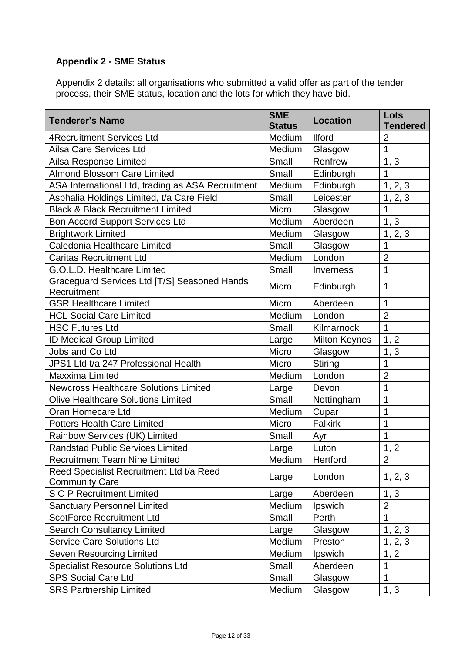## **Appendix 2 - SME Status**

Appendix 2 details: all organisations who submitted a valid offer as part of the tender process, their SME status, location and the lots for which they have bid.

| <b>Tenderer's Name</b>                                            | <b>SME</b><br><b>Status</b> | <b>Location</b>      | Lots<br><b>Tendered</b> |
|-------------------------------------------------------------------|-----------------------------|----------------------|-------------------------|
| <b>4Recruitment Services Ltd</b>                                  | Medium                      | <b>Ilford</b>        | $\overline{2}$          |
| Ailsa Care Services Ltd                                           | Medium                      | Glasgow              | $\mathbf{1}$            |
| Ailsa Response Limited                                            | Small                       | Renfrew              | 1, 3                    |
| <b>Almond Blossom Care Limited</b>                                | Small                       | Edinburgh            | 1                       |
| ASA International Ltd, trading as ASA Recruitment                 | Medium                      | Edinburgh            | 1, 2, 3                 |
| Asphalia Holdings Limited, t/a Care Field                         | Small                       | Leicester            | 1, 2, 3                 |
| <b>Black &amp; Black Recruitment Limited</b>                      | Micro                       | Glasgow              | $\mathbf{1}$            |
| <b>Bon Accord Support Services Ltd</b>                            | Medium                      | Aberdeen             | 1, 3                    |
| <b>Brightwork Limited</b>                                         | Medium                      | Glasgow              | 1, 2, 3                 |
| Caledonia Healthcare Limited                                      | Small                       | Glasgow              | 1                       |
| <b>Caritas Recruitment Ltd</b>                                    | Medium                      | London               | $\overline{2}$          |
| G.O.L.D. Healthcare Limited                                       | Small                       | Inverness            | $\mathbf{1}$            |
| Graceguard Services Ltd [T/S] Seasoned Hands<br>Recruitment       | Micro                       | Edinburgh            | 1                       |
| <b>GSR Healthcare Limited</b>                                     | Micro                       | Aberdeen             | $\mathbf 1$             |
| <b>HCL Social Care Limited</b>                                    | Medium                      | London               | $\overline{2}$          |
| <b>HSC Futures Ltd</b>                                            | Small                       | Kilmarnock           | $\mathbf{1}$            |
| ID Medical Group Limited                                          | Large                       | <b>Milton Keynes</b> | 1, 2                    |
| Jobs and Co Ltd                                                   | Micro                       | Glasgow              | 1, 3                    |
| JPS1 Ltd t/a 247 Professional Health                              | Micro                       | <b>Stiring</b>       | 1                       |
| <b>Maxxima Limited</b>                                            | Medium                      | London               | $\overline{2}$          |
| <b>Newcross Healthcare Solutions Limited</b>                      | Large                       | Devon                | $\mathbf{1}$            |
| <b>Olive Healthcare Solutions Limited</b>                         | Small                       | Nottingham           | 1                       |
| Oran Homecare Ltd                                                 | Medium                      | Cupar                | 1                       |
| <b>Potters Health Care Limited</b>                                | Micro                       | <b>Falkirk</b>       | 1                       |
| Rainbow Services (UK) Limited                                     | Small                       | Ayr                  | 1                       |
| <b>Randstad Public Services Limited</b>                           | Large                       | Luton                | 1, 2                    |
| <b>Recruitment Team Nine Limited</b>                              | Medium                      | Hertford             | $\overline{2}$          |
| Reed Specialist Recruitment Ltd t/a Reed<br><b>Community Care</b> | Large                       | London               | 1, 2, 3                 |
| <b>S C P Recruitment Limited</b>                                  | Large                       | Aberdeen             | 1, 3                    |
| <b>Sanctuary Personnel Limited</b>                                | Medium                      | Ipswich              | $\overline{2}$          |
| <b>ScotForce Recruitment Ltd</b>                                  | Small                       | Perth                | $\mathbf{1}$            |
| <b>Search Consultancy Limited</b>                                 | Large                       | Glasgow              | 1, 2, 3                 |
| <b>Service Care Solutions Ltd</b>                                 | Medium                      | Preston              | 1, 2, 3                 |
| Seven Resourcing Limited                                          | Medium                      | Ipswich              | 1, 2                    |
| <b>Specialist Resource Solutions Ltd</b>                          | Small                       | Aberdeen             | 1                       |
| <b>SPS Social Care Ltd</b>                                        | Small                       | Glasgow              | $\mathbf 1$             |
| <b>SRS Partnership Limited</b>                                    | Medium                      | Glasgow              | 1, 3                    |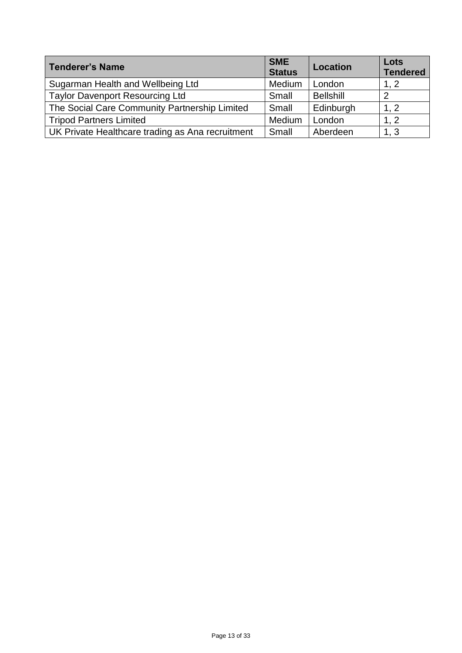| <b>Tenderer's Name</b>                           | <b>SME</b><br><b>Status</b> | <b>Location</b>  | Lots<br><b>Tendered</b> |
|--------------------------------------------------|-----------------------------|------------------|-------------------------|
| Sugarman Health and Wellbeing Ltd                | Medium                      | London           | 1, 2                    |
| <b>Taylor Davenport Resourcing Ltd</b>           | Small                       | <b>Bellshill</b> | 2                       |
| The Social Care Community Partnership Limited    | Small                       | Edinburgh        | 1, 2                    |
| <b>Tripod Partners Limited</b>                   | Medium                      | London           | 1, 2                    |
| UK Private Healthcare trading as Ana recruitment | Small                       | Aberdeen         | 1, 3                    |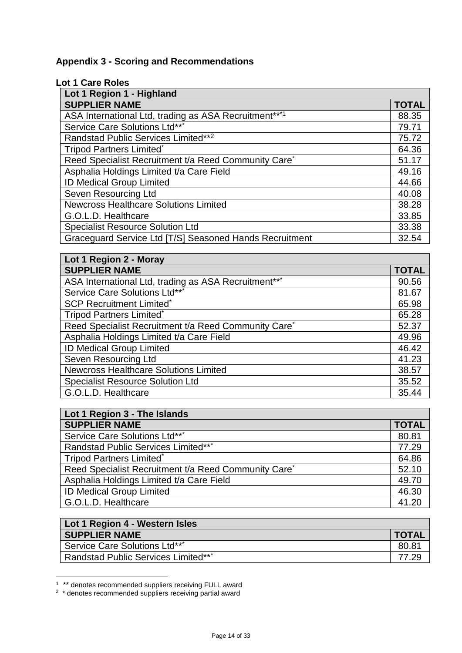# **Appendix 3 - Scoring and Recommendations**

## **Lot 1 Care Roles**

| Lot 1 Region 1 - Highland                                        |              |
|------------------------------------------------------------------|--------------|
| <b>SUPPLIER NAME</b>                                             | <b>TOTAL</b> |
| ASA International Ltd, trading as ASA Recruitment***1            | 88.35        |
| Service Care Solutions Ltd***                                    | 79.71        |
| Randstad Public Services Limited**2                              | 75.72        |
| <b>Tripod Partners Limited*</b>                                  | 64.36        |
| Reed Specialist Recruitment t/a Reed Community Care <sup>*</sup> | 51.17        |
| Asphalia Holdings Limited t/a Care Field                         | 49.16        |
| ID Medical Group Limited                                         | 44.66        |
| Seven Resourcing Ltd                                             | 40.08        |
| <b>Newcross Healthcare Solutions Limited</b>                     | 38.28        |
| G.O.L.D. Healthcare                                              | 33.85        |
| <b>Specialist Resource Solution Ltd</b>                          | 33.38        |
| Graceguard Service Ltd [T/S] Seasoned Hands Recruitment          | 32.54        |

| Lot 1 Region 2 - Moray                               |              |
|------------------------------------------------------|--------------|
| <b>SUPPLIER NAME</b>                                 | <b>TOTAL</b> |
| ASA International Ltd, trading as ASA Recruitment*** | 90.56        |
| Service Care Solutions Ltd***                        | 81.67        |
| <b>SCP Recruitment Limited*</b>                      | 65.98        |
| <b>Tripod Partners Limited*</b>                      | 65.28        |
| Reed Specialist Recruitment t/a Reed Community Care* | 52.37        |
| Asphalia Holdings Limited t/a Care Field             | 49.96        |
| <b>ID Medical Group Limited</b>                      | 46.42        |
| Seven Resourcing Ltd                                 | 41.23        |
| <b>Newcross Healthcare Solutions Limited</b>         | 38.57        |
| <b>Specialist Resource Solution Ltd</b>              | 35.52        |
| G.O.L.D. Healthcare                                  | 35.44        |

| Lot 1 Region 3 - The Islands                         |              |
|------------------------------------------------------|--------------|
| <b>SUPPLIER NAME</b>                                 | <b>TOTAL</b> |
| Service Care Solutions Ltd***                        | 80.81        |
| Randstad Public Services Limited***                  | 77.29        |
| <b>Tripod Partners Limited*</b>                      | 64.86        |
| Reed Specialist Recruitment t/a Reed Community Care* | 52.10        |
| Asphalia Holdings Limited t/a Care Field             | 49.70        |
| <b>ID Medical Group Limited</b>                      | 46.30        |
| G.O.L.D. Healthcare                                  | 41.20        |

| Lot 1 Region 4 - Western Isles             |              |
|--------------------------------------------|--------------|
| <b>SUPPLIER NAME</b>                       | <b>TOTAL</b> |
| Service Care Solutions Ltd***              | 80.81        |
| <b>Randstad Public Services Limited***</b> | 77.29        |

 1 \*\* denotes recommended suppliers receiving FULL award 2 \* denotes recommended suppliers receiving partial award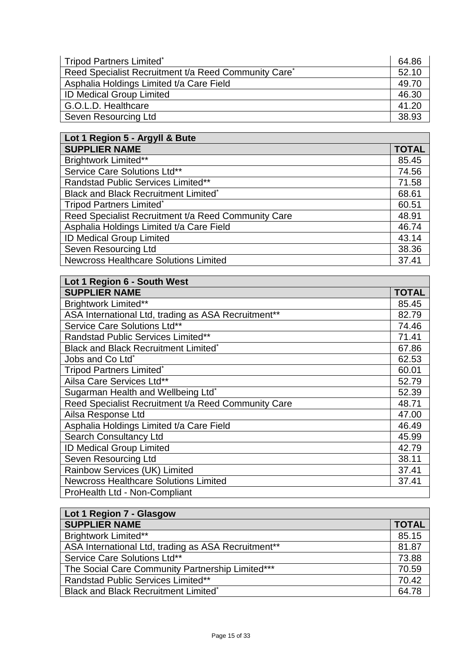| Tripod Partners Limited*                                         | 64.86 |
|------------------------------------------------------------------|-------|
| Reed Specialist Recruitment t/a Reed Community Care <sup>*</sup> | 52.10 |
| Asphalia Holdings Limited t/a Care Field                         | 49.70 |
| <b>ID Medical Group Limited</b>                                  | 46.30 |
| G.O.L.D. Healthcare                                              | 41.20 |
| Seven Resourcing Ltd                                             | 38.93 |

| Lot 1 Region 5 - Argyll & Bute                      |              |
|-----------------------------------------------------|--------------|
| <b>SUPPLIER NAME</b>                                | <b>TOTAL</b> |
| <b>Brightwork Limited**</b>                         | 85.45        |
| Service Care Solutions Ltd**                        | 74.56        |
| Randstad Public Services Limited**                  | 71.58        |
| Black and Black Recruitment Limited*                | 68.61        |
| <b>Tripod Partners Limited*</b>                     | 60.51        |
| Reed Specialist Recruitment t/a Reed Community Care | 48.91        |
| Asphalia Holdings Limited t/a Care Field            | 46.74        |
| <b>ID Medical Group Limited</b>                     | 43.14        |
| <b>Seven Resourcing Ltd</b>                         | 38.36        |
| <b>Newcross Healthcare Solutions Limited</b>        | 37.41        |

| Lot 1 Region 6 - South West                         |              |
|-----------------------------------------------------|--------------|
| <b>SUPPLIER NAME</b>                                | <b>TOTAL</b> |
| <b>Brightwork Limited**</b>                         | 85.45        |
| ASA International Ltd, trading as ASA Recruitment** | 82.79        |
| Service Care Solutions Ltd**                        | 74.46        |
| Randstad Public Services Limited**                  | 71.41        |
| Black and Black Recruitment Limited*                | 67.86        |
| Jobs and Co Ltd <sup>*</sup>                        | 62.53        |
| <b>Tripod Partners Limited*</b>                     | 60.01        |
| Ailsa Care Services Ltd**                           | 52.79        |
| Sugarman Health and Wellbeing Ltd*                  | 52.39        |
| Reed Specialist Recruitment t/a Reed Community Care | 48.71        |
| Ailsa Response Ltd                                  | 47.00        |
| Asphalia Holdings Limited t/a Care Field            | 46.49        |
| <b>Search Consultancy Ltd</b>                       | 45.99        |
| ID Medical Group Limited                            | 42.79        |
| Seven Resourcing Ltd                                | 38.11        |
| Rainbow Services (UK) Limited                       | 37.41        |
| <b>Newcross Healthcare Solutions Limited</b>        | 37.41        |
| ProHealth Ltd - Non-Compliant                       |              |

| Lot 1 Region 7 - Glasgow                            |              |
|-----------------------------------------------------|--------------|
| <b>SUPPLIER NAME</b>                                | <b>TOTAL</b> |
| <b>Brightwork Limited**</b>                         | 85.15        |
| ASA International Ltd, trading as ASA Recruitment** | 81.87        |
| Service Care Solutions Ltd**                        | 73.88        |
| The Social Care Community Partnership Limited***    | 70.59        |
| <b>Randstad Public Services Limited**</b>           | 70.42        |
| <b>Black and Black Recruitment Limited*</b>         | 64.78        |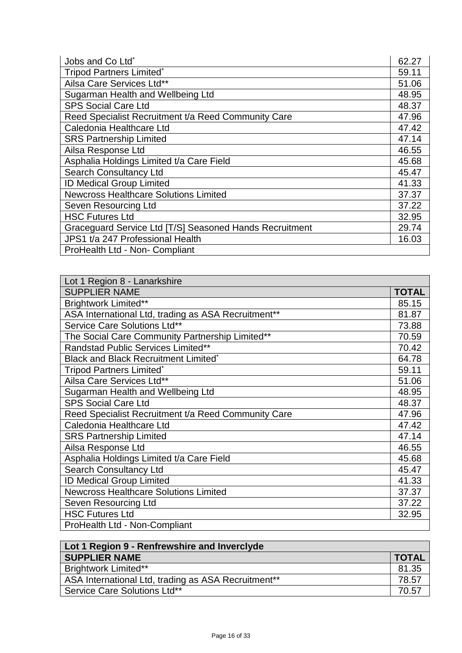| Jobs and Co Ltd <sup>*</sup>                            | 62.27 |
|---------------------------------------------------------|-------|
| <b>Tripod Partners Limited*</b>                         | 59.11 |
| Ailsa Care Services Ltd**                               | 51.06 |
| Sugarman Health and Wellbeing Ltd                       | 48.95 |
| <b>SPS Social Care Ltd</b>                              | 48.37 |
| Reed Specialist Recruitment t/a Reed Community Care     | 47.96 |
| Caledonia Healthcare Ltd                                | 47.42 |
| <b>SRS Partnership Limited</b>                          | 47.14 |
| Ailsa Response Ltd                                      | 46.55 |
| Asphalia Holdings Limited t/a Care Field                | 45.68 |
| <b>Search Consultancy Ltd</b>                           | 45.47 |
| <b>ID Medical Group Limited</b>                         | 41.33 |
| <b>Newcross Healthcare Solutions Limited</b>            | 37.37 |
| Seven Resourcing Ltd                                    | 37.22 |
| <b>HSC Futures Ltd</b>                                  | 32.95 |
| Graceguard Service Ltd [T/S] Seasoned Hands Recruitment | 29.74 |
| JPS1 t/a 247 Professional Health                        | 16.03 |
| ProHealth Ltd - Non- Compliant                          |       |

| Lot 1 Region 8 - Lanarkshire                        |              |
|-----------------------------------------------------|--------------|
| <b>SUPPLIER NAME</b>                                | <b>TOTAL</b> |
| Brightwork Limited**                                | 85.15        |
| ASA International Ltd, trading as ASA Recruitment** | 81.87        |
| Service Care Solutions Ltd**                        | 73.88        |
| The Social Care Community Partnership Limited**     | 70.59        |
| <b>Randstad Public Services Limited**</b>           | 70.42        |
| <b>Black and Black Recruitment Limited*</b>         | 64.78        |
| <b>Tripod Partners Limited*</b>                     | 59.11        |
| Ailsa Care Services Ltd**                           | 51.06        |
| Sugarman Health and Wellbeing Ltd                   | 48.95        |
| <b>SPS Social Care Ltd</b>                          | 48.37        |
| Reed Specialist Recruitment t/a Reed Community Care | 47.96        |
| Caledonia Healthcare Ltd                            | 47.42        |
| <b>SRS Partnership Limited</b>                      | 47.14        |
| Ailsa Response Ltd                                  | 46.55        |
| Asphalia Holdings Limited t/a Care Field            | 45.68        |
| <b>Search Consultancy Ltd</b>                       | 45.47        |
| <b>ID Medical Group Limited</b>                     | 41.33        |
| <b>Newcross Healthcare Solutions Limited</b>        | 37.37        |
| Seven Resourcing Ltd                                | 37.22        |
| <b>HSC Futures Ltd</b>                              | 32.95        |
| ProHealth Ltd - Non-Compliant                       |              |

| Lot 1 Region 9 - Renfrewshire and Inverclyde        |              |
|-----------------------------------------------------|--------------|
| <b>SUPPLIER NAME</b>                                | <b>TOTAL</b> |
| <b>Brightwork Limited**</b>                         | 81.35        |
| ASA International Ltd, trading as ASA Recruitment** | 78.57        |
| Service Care Solutions Ltd**                        | 70.57        |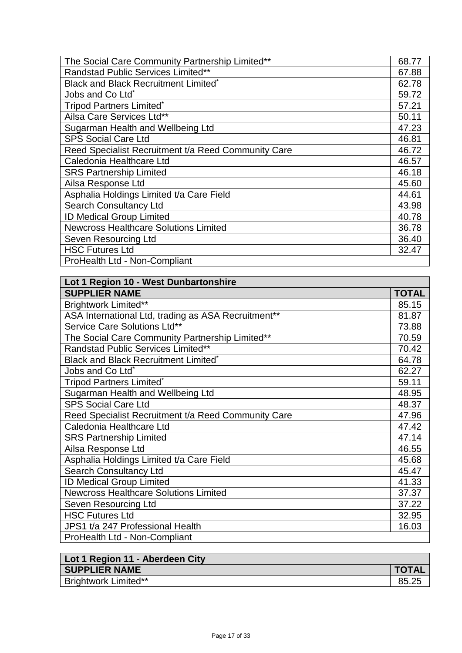| The Social Care Community Partnership Limited**     | 68.77 |
|-----------------------------------------------------|-------|
| <b>Randstad Public Services Limited**</b>           | 67.88 |
| Black and Black Recruitment Limited*                | 62.78 |
| Jobs and Co Ltd <sup>*</sup>                        | 59.72 |
| <b>Tripod Partners Limited*</b>                     | 57.21 |
| Ailsa Care Services Ltd**                           | 50.11 |
| Sugarman Health and Wellbeing Ltd                   | 47.23 |
| <b>SPS Social Care Ltd</b>                          | 46.81 |
| Reed Specialist Recruitment t/a Reed Community Care | 46.72 |
| Caledonia Healthcare Ltd                            | 46.57 |
| <b>SRS Partnership Limited</b>                      | 46.18 |
| Ailsa Response Ltd                                  | 45.60 |
| Asphalia Holdings Limited t/a Care Field            | 44.61 |
| <b>Search Consultancy Ltd</b>                       | 43.98 |
| <b>ID Medical Group Limited</b>                     | 40.78 |
| <b>Newcross Healthcare Solutions Limited</b>        | 36.78 |
| Seven Resourcing Ltd                                | 36.40 |
| <b>HSC Futures Ltd</b>                              | 32.47 |
| ProHealth Ltd - Non-Compliant                       |       |

| Lot 1 Region 10 - West Dunbartonshire               |       |
|-----------------------------------------------------|-------|
| <b>SUPPLIER NAME</b>                                | TOTAL |
| Brightwork Limited**                                | 85.15 |
| ASA International Ltd, trading as ASA Recruitment** | 81.87 |
| Service Care Solutions Ltd**                        | 73.88 |
| The Social Care Community Partnership Limited**     | 70.59 |
| <b>Randstad Public Services Limited**</b>           | 70.42 |
| Black and Black Recruitment Limited*                | 64.78 |
| Jobs and Co Ltd <sup>*</sup>                        | 62.27 |
| <b>Tripod Partners Limited*</b>                     | 59.11 |
| Sugarman Health and Wellbeing Ltd                   | 48.95 |
| <b>SPS Social Care Ltd</b>                          | 48.37 |
| Reed Specialist Recruitment t/a Reed Community Care | 47.96 |
| Caledonia Healthcare Ltd                            | 47.42 |
| <b>SRS Partnership Limited</b>                      | 47.14 |
| Ailsa Response Ltd                                  | 46.55 |
| Asphalia Holdings Limited t/a Care Field            | 45.68 |
| <b>Search Consultancy Ltd</b>                       | 45.47 |
| <b>ID Medical Group Limited</b>                     | 41.33 |
| <b>Newcross Healthcare Solutions Limited</b>        | 37.37 |
| Seven Resourcing Ltd                                | 37.22 |
| <b>HSC Futures Ltd</b>                              | 32.95 |
| JPS1 t/a 247 Professional Health                    | 16.03 |
| ProHealth Ltd - Non-Compliant                       |       |

| Lot 1 Region 11 - Aberdeen City |              |
|---------------------------------|--------------|
| <b>SUPPLIER NAME</b>            | <b>TOTAL</b> |
| <b>Brightwork Limited**</b>     | 85.25        |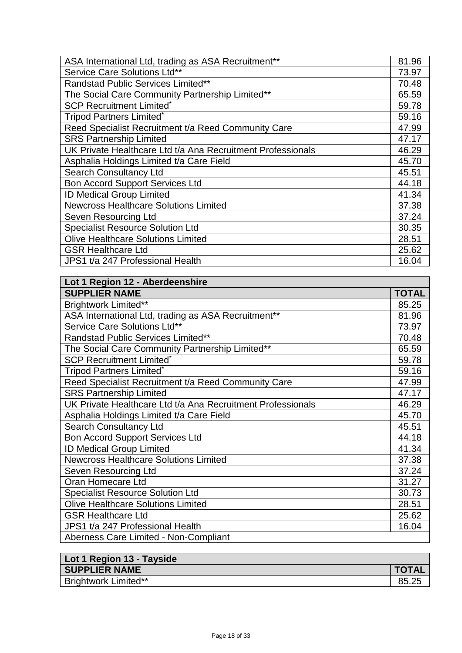| ASA International Ltd, trading as ASA Recruitment**         | 81.96 |
|-------------------------------------------------------------|-------|
| Service Care Solutions Ltd**                                | 73.97 |
| Randstad Public Services Limited**                          | 70.48 |
| The Social Care Community Partnership Limited**             | 65.59 |
| <b>SCP Recruitment Limited*</b>                             | 59.78 |
| <b>Tripod Partners Limited*</b>                             | 59.16 |
| Reed Specialist Recruitment t/a Reed Community Care         | 47.99 |
| <b>SRS Partnership Limited</b>                              | 47.17 |
| UK Private Healthcare Ltd t/a Ana Recruitment Professionals | 46.29 |
| Asphalia Holdings Limited t/a Care Field                    | 45.70 |
| <b>Search Consultancy Ltd</b>                               | 45.51 |
| <b>Bon Accord Support Services Ltd</b>                      | 44.18 |
| <b>ID Medical Group Limited</b>                             | 41.34 |
| <b>Newcross Healthcare Solutions Limited</b>                | 37.38 |
| Seven Resourcing Ltd                                        | 37.24 |
| <b>Specialist Resource Solution Ltd</b>                     | 30.35 |
| <b>Olive Healthcare Solutions Limited</b>                   | 28.51 |
| <b>GSR Healthcare Ltd</b>                                   | 25.62 |
| JPS1 t/a 247 Professional Health                            | 16.04 |

| Lot 1 Region 12 - Aberdeenshire                             |              |
|-------------------------------------------------------------|--------------|
| <b>SUPPLIER NAME</b>                                        | <b>TOTAL</b> |
| <b>Brightwork Limited**</b>                                 | 85.25        |
| ASA International Ltd, trading as ASA Recruitment**         | 81.96        |
| Service Care Solutions Ltd**                                | 73.97        |
| Randstad Public Services Limited**                          | 70.48        |
| The Social Care Community Partnership Limited**             | 65.59        |
| <b>SCP Recruitment Limited*</b>                             | 59.78        |
| Tripod Partners Limited <sup>*</sup>                        | 59.16        |
| Reed Specialist Recruitment t/a Reed Community Care         | 47.99        |
| <b>SRS Partnership Limited</b>                              | 47.17        |
| UK Private Healthcare Ltd t/a Ana Recruitment Professionals | 46.29        |
| Asphalia Holdings Limited t/a Care Field                    | 45.70        |
| <b>Search Consultancy Ltd</b>                               | 45.51        |
| <b>Bon Accord Support Services Ltd</b>                      | 44.18        |
| <b>ID Medical Group Limited</b>                             | 41.34        |
| <b>Newcross Healthcare Solutions Limited</b>                | 37.38        |
| Seven Resourcing Ltd                                        | 37.24        |
| Oran Homecare Ltd                                           | 31.27        |
| <b>Specialist Resource Solution Ltd</b>                     | 30.73        |
| <b>Olive Healthcare Solutions Limited</b>                   | 28.51        |
| <b>GSR Healthcare Ltd</b>                                   | 25.62        |
| JPS1 t/a 247 Professional Health                            | 16.04        |
| Aberness Care Limited - Non-Compliant                       |              |

| Lot 1 Region 13 - Tayside |              |
|---------------------------|--------------|
| <b>SUPPLIER NAME</b>      | <b>TOTAL</b> |
| Brightwork Limited**      | 85.25        |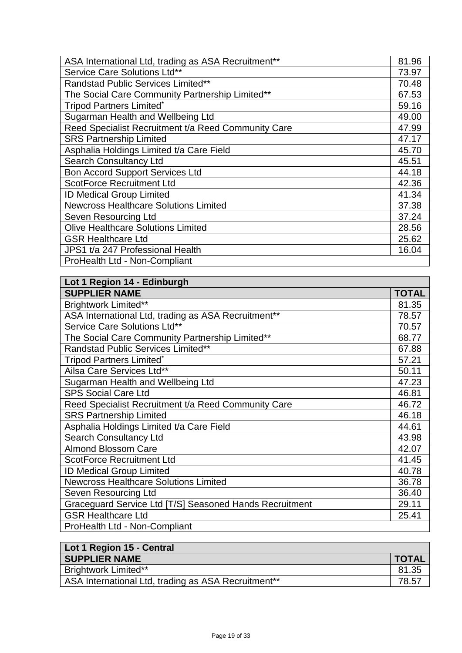| ASA International Ltd, trading as ASA Recruitment** | 81.96 |
|-----------------------------------------------------|-------|
| Service Care Solutions Ltd**                        | 73.97 |
| Randstad Public Services Limited**                  | 70.48 |
| The Social Care Community Partnership Limited**     | 67.53 |
| <b>Tripod Partners Limited*</b>                     | 59.16 |
| Sugarman Health and Wellbeing Ltd                   | 49.00 |
| Reed Specialist Recruitment t/a Reed Community Care | 47.99 |
| <b>SRS Partnership Limited</b>                      | 47.17 |
| Asphalia Holdings Limited t/a Care Field            | 45.70 |
| <b>Search Consultancy Ltd</b>                       | 45.51 |
| <b>Bon Accord Support Services Ltd</b>              | 44.18 |
| <b>ScotForce Recruitment Ltd</b>                    | 42.36 |
| <b>ID Medical Group Limited</b>                     | 41.34 |
| <b>Newcross Healthcare Solutions Limited</b>        | 37.38 |
| Seven Resourcing Ltd                                | 37.24 |
| <b>Olive Healthcare Solutions Limited</b>           | 28.56 |
| <b>GSR Healthcare Ltd</b>                           | 25.62 |
| JPS1 t/a 247 Professional Health                    | 16.04 |
| ProHealth Ltd - Non-Compliant                       |       |

| Lot 1 Region 14 - Edinburgh                             |              |
|---------------------------------------------------------|--------------|
| <b>SUPPLIER NAME</b>                                    | <b>TOTAL</b> |
| <b>Brightwork Limited**</b>                             | 81.35        |
| ASA International Ltd, trading as ASA Recruitment**     | 78.57        |
| Service Care Solutions Ltd**                            | 70.57        |
| The Social Care Community Partnership Limited**         | 68.77        |
| Randstad Public Services Limited**                      | 67.88        |
| <b>Tripod Partners Limited*</b>                         | 57.21        |
| Ailsa Care Services Ltd**                               | 50.11        |
| Sugarman Health and Wellbeing Ltd                       | 47.23        |
| <b>SPS Social Care Ltd</b>                              | 46.81        |
| Reed Specialist Recruitment t/a Reed Community Care     | 46.72        |
| <b>SRS Partnership Limited</b>                          | 46.18        |
| Asphalia Holdings Limited t/a Care Field                | 44.61        |
| <b>Search Consultancy Ltd</b>                           | 43.98        |
| <b>Almond Blossom Care</b>                              | 42.07        |
| <b>ScotForce Recruitment Ltd</b>                        | 41.45        |
| <b>ID Medical Group Limited</b>                         | 40.78        |
| <b>Newcross Healthcare Solutions Limited</b>            | 36.78        |
| Seven Resourcing Ltd                                    | 36.40        |
| Graceguard Service Ltd [T/S] Seasoned Hands Recruitment | 29.11        |
| <b>GSR Healthcare Ltd</b>                               | 25.41        |
| ProHealth Ltd - Non-Compliant                           |              |

| Lot 1 Region 15 - Central                           |              |
|-----------------------------------------------------|--------------|
| <b>SUPPLIER NAME</b>                                | <b>TOTAL</b> |
| <b>Brightwork Limited**</b>                         | 81.35        |
| ASA International Ltd, trading as ASA Recruitment** | 78.57        |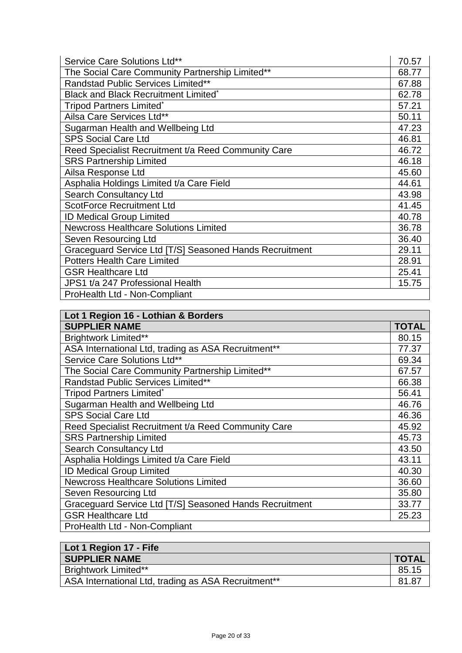| Service Care Solutions Ltd**                            | 70.57 |
|---------------------------------------------------------|-------|
| The Social Care Community Partnership Limited**         | 68.77 |
| <b>Randstad Public Services Limited**</b>               | 67.88 |
| Black and Black Recruitment Limited*                    | 62.78 |
| Tripod Partners Limited*                                | 57.21 |
| Ailsa Care Services Ltd**                               | 50.11 |
| Sugarman Health and Wellbeing Ltd                       | 47.23 |
| <b>SPS Social Care Ltd</b>                              | 46.81 |
| Reed Specialist Recruitment t/a Reed Community Care     | 46.72 |
| <b>SRS Partnership Limited</b>                          | 46.18 |
| Ailsa Response Ltd                                      | 45.60 |
| Asphalia Holdings Limited t/a Care Field                | 44.61 |
| <b>Search Consultancy Ltd</b>                           | 43.98 |
| <b>ScotForce Recruitment Ltd</b>                        | 41.45 |
| <b>ID Medical Group Limited</b>                         | 40.78 |
| <b>Newcross Healthcare Solutions Limited</b>            | 36.78 |
| Seven Resourcing Ltd                                    | 36.40 |
| Graceguard Service Ltd [T/S] Seasoned Hands Recruitment | 29.11 |
| <b>Potters Health Care Limited</b>                      | 28.91 |
| <b>GSR Healthcare Ltd</b>                               | 25.41 |
| JPS1 t/a 247 Professional Health                        | 15.75 |
| ProHealth Ltd - Non-Compliant                           |       |

| Lot 1 Region 16 - Lothian & Borders                     |              |
|---------------------------------------------------------|--------------|
| <b>SUPPLIER NAME</b>                                    | <b>TOTAL</b> |
| <b>Brightwork Limited**</b>                             | 80.15        |
| ASA International Ltd, trading as ASA Recruitment**     | 77.37        |
| Service Care Solutions Ltd**                            | 69.34        |
| The Social Care Community Partnership Limited**         | 67.57        |
| Randstad Public Services Limited**                      | 66.38        |
| <b>Tripod Partners Limited*</b>                         | 56.41        |
| Sugarman Health and Wellbeing Ltd                       | 46.76        |
| <b>SPS Social Care Ltd</b>                              | 46.36        |
| Reed Specialist Recruitment t/a Reed Community Care     | 45.92        |
| <b>SRS Partnership Limited</b>                          | 45.73        |
| <b>Search Consultancy Ltd</b>                           | 43.50        |
| Asphalia Holdings Limited t/a Care Field                | 43.11        |
| <b>ID Medical Group Limited</b>                         | 40.30        |
| <b>Newcross Healthcare Solutions Limited</b>            | 36.60        |
| Seven Resourcing Ltd                                    | 35.80        |
| Graceguard Service Ltd [T/S] Seasoned Hands Recruitment | 33.77        |
| <b>GSR Healthcare Ltd</b>                               | 25.23        |
| ProHealth Ltd - Non-Compliant                           |              |

| Lot 1 Region 17 - Fife                              |                |
|-----------------------------------------------------|----------------|
| <b>SUPPLIER NAME</b>                                | <b>I TOTAL</b> |
| <b>Brightwork Limited**</b>                         | 85.15          |
| ASA International Ltd, trading as ASA Recruitment** | 81.87          |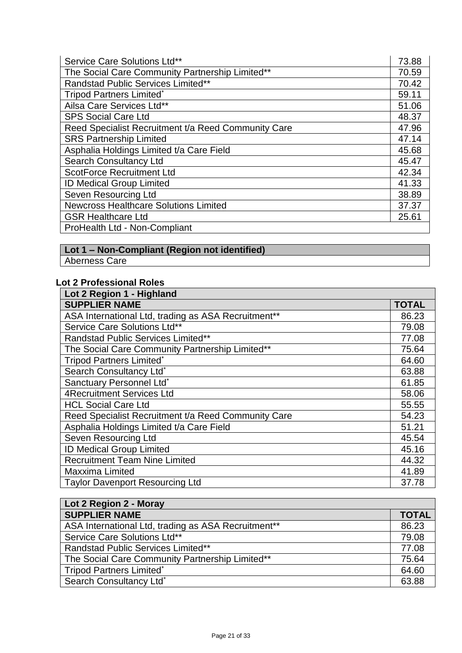| Service Care Solutions Ltd**                        | 73.88 |
|-----------------------------------------------------|-------|
| The Social Care Community Partnership Limited**     | 70.59 |
| <b>Randstad Public Services Limited**</b>           | 70.42 |
| <b>Tripod Partners Limited*</b>                     | 59.11 |
| Ailsa Care Services Ltd**                           | 51.06 |
| <b>SPS Social Care Ltd</b>                          | 48.37 |
| Reed Specialist Recruitment t/a Reed Community Care | 47.96 |
| <b>SRS Partnership Limited</b>                      | 47.14 |
| Asphalia Holdings Limited t/a Care Field            | 45.68 |
| <b>Search Consultancy Ltd</b>                       | 45.47 |
| <b>ScotForce Recruitment Ltd</b>                    | 42.34 |
| <b>ID Medical Group Limited</b>                     | 41.33 |
| Seven Resourcing Ltd                                | 38.89 |
| <b>Newcross Healthcare Solutions Limited</b>        | 37.37 |
| <b>GSR Healthcare Ltd</b>                           | 25.61 |
| ProHealth Ltd - Non-Compliant                       |       |

# **Lot 1 – Non-Compliant (Region not identified)**

Aberness Care

## **Lot 2 Professional Roles**

| Lot 2 Region 1 - Highland                           |              |
|-----------------------------------------------------|--------------|
| <b>SUPPLIER NAME</b>                                | <b>TOTAL</b> |
| ASA International Ltd, trading as ASA Recruitment** | 86.23        |
| Service Care Solutions Ltd**                        | 79.08        |
| <b>Randstad Public Services Limited**</b>           | 77.08        |
| The Social Care Community Partnership Limited**     | 75.64        |
| <b>Tripod Partners Limited*</b>                     | 64.60        |
| Search Consultancy Ltd*                             | 63.88        |
| Sanctuary Personnel Ltd*                            | 61.85        |
| <b>4Recruitment Services Ltd</b>                    | 58.06        |
| <b>HCL Social Care Ltd</b>                          | 55.55        |
| Reed Specialist Recruitment t/a Reed Community Care | 54.23        |
| Asphalia Holdings Limited t/a Care Field            | 51.21        |
| Seven Resourcing Ltd                                | 45.54        |
| <b>ID Medical Group Limited</b>                     | 45.16        |
| <b>Recruitment Team Nine Limited</b>                | 44.32        |
| <b>Maxxima Limited</b>                              | 41.89        |
| <b>Taylor Davenport Resourcing Ltd</b>              | 37.78        |

| Lot 2 Region 2 - Moray                              |              |
|-----------------------------------------------------|--------------|
| <b>SUPPLIER NAME</b>                                | <b>TOTAL</b> |
| ASA International Ltd, trading as ASA Recruitment** | 86.23        |
| Service Care Solutions Ltd**                        | 79.08        |
| <b>Randstad Public Services Limited**</b>           | 77.08        |
| The Social Care Community Partnership Limited**     | 75.64        |
| <b>Tripod Partners Limited*</b>                     | 64.60        |
| Search Consultancy Ltd*                             | 63.88        |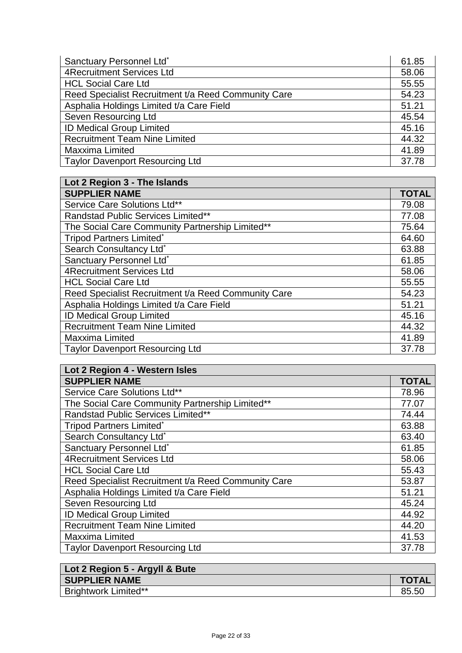| Sanctuary Personnel Ltd*                            | 61.85 |
|-----------------------------------------------------|-------|
| <b>4Recruitment Services Ltd</b>                    | 58.06 |
| <b>HCL Social Care Ltd</b>                          | 55.55 |
| Reed Specialist Recruitment t/a Reed Community Care | 54.23 |
| Asphalia Holdings Limited t/a Care Field            | 51.21 |
| Seven Resourcing Ltd                                | 45.54 |
| <b>ID Medical Group Limited</b>                     | 45.16 |
| <b>Recruitment Team Nine Limited</b>                | 44.32 |
| Maxxima Limited                                     | 41.89 |
| <b>Taylor Davenport Resourcing Ltd</b>              | 37.78 |

| Lot 2 Region 3 - The Islands                        |              |
|-----------------------------------------------------|--------------|
| <b>SUPPLIER NAME</b>                                | <b>TOTAL</b> |
| Service Care Solutions Ltd**                        | 79.08        |
| Randstad Public Services Limited**                  | 77.08        |
| The Social Care Community Partnership Limited**     | 75.64        |
| <b>Tripod Partners Limited*</b>                     | 64.60        |
| Search Consultancy Ltd*                             | 63.88        |
| Sanctuary Personnel Ltd*                            | 61.85        |
| <b>4Recruitment Services Ltd</b>                    | 58.06        |
| <b>HCL Social Care Ltd</b>                          | 55.55        |
| Reed Specialist Recruitment t/a Reed Community Care | 54.23        |
| Asphalia Holdings Limited t/a Care Field            | 51.21        |
| <b>ID Medical Group Limited</b>                     | 45.16        |
| <b>Recruitment Team Nine Limited</b>                | 44.32        |
| Maxxima Limited                                     | 41.89        |
| <b>Taylor Davenport Resourcing Ltd</b>              | 37.78        |

| Lot 2 Region 4 - Western Isles                      |              |
|-----------------------------------------------------|--------------|
| <b>SUPPLIER NAME</b>                                | <b>TOTAL</b> |
| Service Care Solutions Ltd**                        | 78.96        |
| The Social Care Community Partnership Limited**     | 77.07        |
| Randstad Public Services Limited**                  | 74.44        |
| <b>Tripod Partners Limited*</b>                     | 63.88        |
| Search Consultancy Ltd*                             | 63.40        |
| Sanctuary Personnel Ltd*                            | 61.85        |
| <b>4Recruitment Services Ltd</b>                    | 58.06        |
| <b>HCL Social Care Ltd</b>                          | 55.43        |
| Reed Specialist Recruitment t/a Reed Community Care | 53.87        |
| Asphalia Holdings Limited t/a Care Field            | 51.21        |
| Seven Resourcing Ltd                                | 45.24        |
| <b>ID Medical Group Limited</b>                     | 44.92        |
| <b>Recruitment Team Nine Limited</b>                | 44.20        |
| Maxxima Limited                                     | 41.53        |
| <b>Taylor Davenport Resourcing Ltd</b>              | 37.78        |

| Lot 2 Region 5 - Argyll & Bute |              |
|--------------------------------|--------------|
| <b>SUPPLIER NAME</b>           | <b>TOTAL</b> |
| <b>Brightwork Limited**</b>    | 85.50        |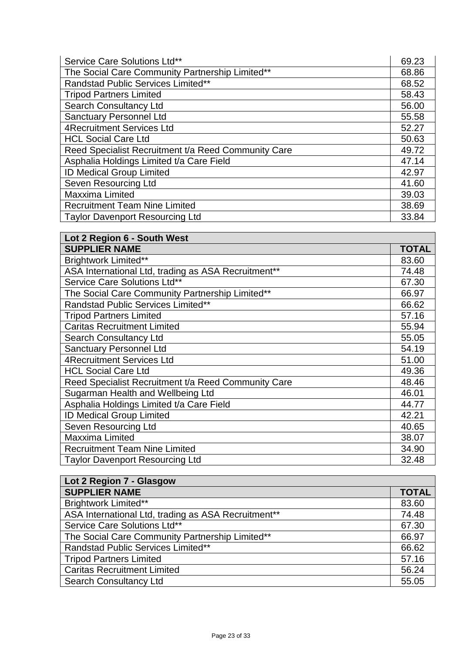| Service Care Solutions Ltd**                        | 69.23 |
|-----------------------------------------------------|-------|
| The Social Care Community Partnership Limited**     | 68.86 |
| Randstad Public Services Limited**                  | 68.52 |
| <b>Tripod Partners Limited</b>                      | 58.43 |
| <b>Search Consultancy Ltd</b>                       | 56.00 |
| <b>Sanctuary Personnel Ltd</b>                      | 55.58 |
| <b>4Recruitment Services Ltd</b>                    | 52.27 |
| <b>HCL Social Care Ltd</b>                          | 50.63 |
| Reed Specialist Recruitment t/a Reed Community Care | 49.72 |
| Asphalia Holdings Limited t/a Care Field            | 47.14 |
| <b>ID Medical Group Limited</b>                     | 42.97 |
| Seven Resourcing Ltd                                | 41.60 |
| Maxxima Limited                                     | 39.03 |
| <b>Recruitment Team Nine Limited</b>                | 38.69 |
| <b>Taylor Davenport Resourcing Ltd</b>              | 33.84 |

| Lot 2 Region 6 - South West                         |       |
|-----------------------------------------------------|-------|
| <b>SUPPLIER NAME</b>                                | TOTAL |
| <b>Brightwork Limited**</b>                         | 83.60 |
| ASA International Ltd, trading as ASA Recruitment** | 74.48 |
| Service Care Solutions Ltd**                        | 67.30 |
| The Social Care Community Partnership Limited**     | 66.97 |
| <b>Randstad Public Services Limited**</b>           | 66.62 |
| <b>Tripod Partners Limited</b>                      | 57.16 |
| <b>Caritas Recruitment Limited</b>                  | 55.94 |
| <b>Search Consultancy Ltd</b>                       | 55.05 |
| <b>Sanctuary Personnel Ltd</b>                      | 54.19 |
| <b>4Recruitment Services Ltd</b>                    | 51.00 |
| <b>HCL Social Care Ltd</b>                          | 49.36 |
| Reed Specialist Recruitment t/a Reed Community Care | 48.46 |
| Sugarman Health and Wellbeing Ltd                   | 46.01 |
| Asphalia Holdings Limited t/a Care Field            | 44.77 |
| <b>ID Medical Group Limited</b>                     | 42.21 |
| Seven Resourcing Ltd                                | 40.65 |
| <b>Maxxima Limited</b>                              | 38.07 |
| <b>Recruitment Team Nine Limited</b>                | 34.90 |
| <b>Taylor Davenport Resourcing Ltd</b>              | 32.48 |

| Lot 2 Region 7 - Glasgow                            |              |
|-----------------------------------------------------|--------------|
| <b>SUPPLIER NAME</b>                                | <b>TOTAL</b> |
| <b>Brightwork Limited**</b>                         | 83.60        |
| ASA International Ltd, trading as ASA Recruitment** | 74.48        |
| Service Care Solutions Ltd**                        | 67.30        |
| The Social Care Community Partnership Limited**     | 66.97        |
| Randstad Public Services Limited**                  | 66.62        |
| <b>Tripod Partners Limited</b>                      | 57.16        |
| <b>Caritas Recruitment Limited</b>                  | 56.24        |
| <b>Search Consultancy Ltd</b>                       | 55.05        |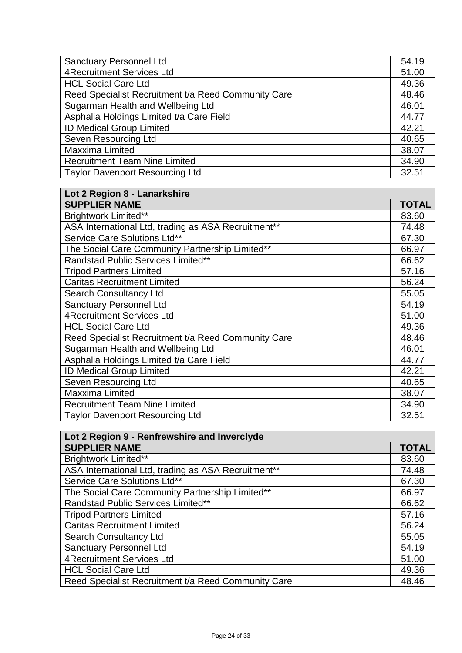| <b>Sanctuary Personnel Ltd</b>                      | 54.19 |
|-----------------------------------------------------|-------|
| 4Recruitment Services Ltd                           | 51.00 |
| <b>HCL Social Care Ltd</b>                          | 49.36 |
| Reed Specialist Recruitment t/a Reed Community Care | 48.46 |
| Sugarman Health and Wellbeing Ltd                   | 46.01 |
| Asphalia Holdings Limited t/a Care Field            | 44.77 |
| <b>ID Medical Group Limited</b>                     | 42.21 |
| Seven Resourcing Ltd                                | 40.65 |
| Maxxima Limited                                     | 38.07 |
| <b>Recruitment Team Nine Limited</b>                | 34.90 |
| <b>Taylor Davenport Resourcing Ltd</b>              | 32.51 |

| Lot 2 Region 8 - Lanarkshire                        |              |
|-----------------------------------------------------|--------------|
| <b>SUPPLIER NAME</b>                                | <b>TOTAL</b> |
| <b>Brightwork Limited**</b>                         | 83.60        |
| ASA International Ltd, trading as ASA Recruitment** | 74.48        |
| Service Care Solutions Ltd**                        | 67.30        |
| The Social Care Community Partnership Limited**     | 66.97        |
| <b>Randstad Public Services Limited**</b>           | 66.62        |
| <b>Tripod Partners Limited</b>                      | 57.16        |
| <b>Caritas Recruitment Limited</b>                  | 56.24        |
| <b>Search Consultancy Ltd</b>                       | 55.05        |
| <b>Sanctuary Personnel Ltd</b>                      | 54.19        |
| <b>4Recruitment Services Ltd</b>                    | 51.00        |
| <b>HCL Social Care Ltd</b>                          | 49.36        |
| Reed Specialist Recruitment t/a Reed Community Care | 48.46        |
| Sugarman Health and Wellbeing Ltd                   | 46.01        |
| Asphalia Holdings Limited t/a Care Field            | 44.77        |
| <b>ID Medical Group Limited</b>                     | 42.21        |
| Seven Resourcing Ltd                                | 40.65        |
| Maxxima Limited                                     | 38.07        |
| <b>Recruitment Team Nine Limited</b>                | 34.90        |
| <b>Taylor Davenport Resourcing Ltd</b>              | 32.51        |

| Lot 2 Region 9 - Renfrewshire and Inverclyde        |              |
|-----------------------------------------------------|--------------|
| <b>SUPPLIER NAME</b>                                | <b>TOTAL</b> |
| <b>Brightwork Limited**</b>                         | 83.60        |
| ASA International Ltd, trading as ASA Recruitment** | 74.48        |
| Service Care Solutions Ltd**                        | 67.30        |
| The Social Care Community Partnership Limited**     | 66.97        |
| <b>Randstad Public Services Limited**</b>           | 66.62        |
| <b>Tripod Partners Limited</b>                      | 57.16        |
| <b>Caritas Recruitment Limited</b>                  | 56.24        |
| <b>Search Consultancy Ltd</b>                       | 55.05        |
| <b>Sanctuary Personnel Ltd</b>                      | 54.19        |
| <b>4Recruitment Services Ltd</b>                    | 51.00        |
| <b>HCL Social Care Ltd</b>                          | 49.36        |
| Reed Specialist Recruitment t/a Reed Community Care | 48.46        |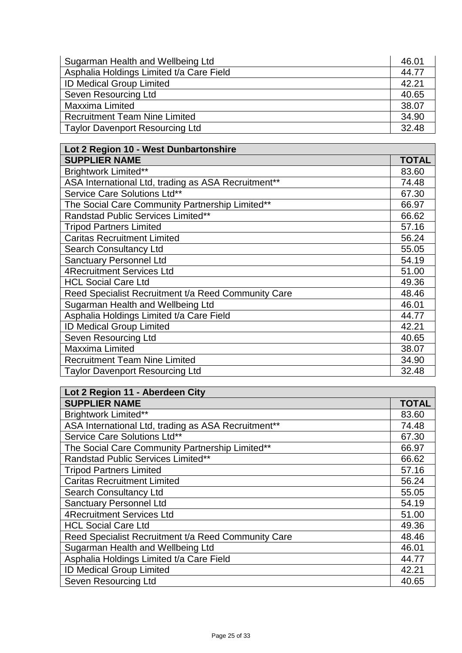| Sugarman Health and Wellbeing Ltd        | 46.01 |
|------------------------------------------|-------|
| Asphalia Holdings Limited t/a Care Field | 44.77 |
| <b>ID Medical Group Limited</b>          | 42.21 |
| Seven Resourcing Ltd                     | 40.65 |
| Maxxima Limited                          | 38.07 |
| <b>Recruitment Team Nine Limited</b>     | 34.90 |
| <b>Taylor Davenport Resourcing Ltd</b>   | 32.48 |

| Lot 2 Region 10 - West Dunbartonshire               |              |
|-----------------------------------------------------|--------------|
| <b>SUPPLIER NAME</b>                                | <b>TOTAL</b> |
| <b>Brightwork Limited**</b>                         | 83.60        |
| ASA International Ltd, trading as ASA Recruitment** | 74.48        |
| Service Care Solutions Ltd**                        | 67.30        |
| The Social Care Community Partnership Limited**     | 66.97        |
| Randstad Public Services Limited**                  | 66.62        |
| <b>Tripod Partners Limited</b>                      | 57.16        |
| <b>Caritas Recruitment Limited</b>                  | 56.24        |
| <b>Search Consultancy Ltd</b>                       | 55.05        |
| <b>Sanctuary Personnel Ltd</b>                      | 54.19        |
| <b>4Recruitment Services Ltd</b>                    | 51.00        |
| <b>HCL Social Care Ltd</b>                          | 49.36        |
| Reed Specialist Recruitment t/a Reed Community Care | 48.46        |
| Sugarman Health and Wellbeing Ltd                   | 46.01        |
| Asphalia Holdings Limited t/a Care Field            | 44.77        |
| ID Medical Group Limited                            | 42.21        |
| Seven Resourcing Ltd                                | 40.65        |
| Maxxima Limited                                     | 38.07        |
| <b>Recruitment Team Nine Limited</b>                | 34.90        |
| <b>Taylor Davenport Resourcing Ltd</b>              | 32.48        |

| Lot 2 Region 11 - Aberdeen City                     |              |
|-----------------------------------------------------|--------------|
| <b>SUPPLIER NAME</b>                                | <b>TOTAL</b> |
| <b>Brightwork Limited**</b>                         | 83.60        |
| ASA International Ltd, trading as ASA Recruitment** | 74.48        |
| Service Care Solutions Ltd**                        | 67.30        |
| The Social Care Community Partnership Limited**     | 66.97        |
| Randstad Public Services Limited**                  | 66.62        |
| <b>Tripod Partners Limited</b>                      | 57.16        |
| <b>Caritas Recruitment Limited</b>                  | 56.24        |
| <b>Search Consultancy Ltd</b>                       | 55.05        |
| <b>Sanctuary Personnel Ltd</b>                      | 54.19        |
| <b>4Recruitment Services Ltd</b>                    | 51.00        |
| <b>HCL Social Care Ltd</b>                          | 49.36        |
| Reed Specialist Recruitment t/a Reed Community Care | 48.46        |
| Sugarman Health and Wellbeing Ltd                   | 46.01        |
| Asphalia Holdings Limited t/a Care Field            | 44.77        |
| ID Medical Group Limited                            | 42.21        |
| Seven Resourcing Ltd                                | 40.65        |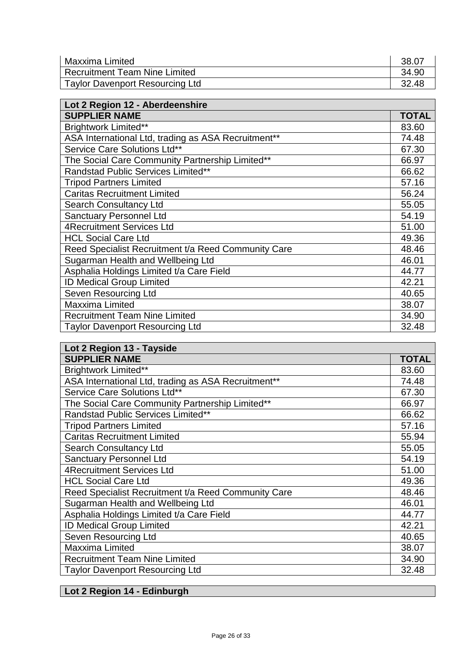| Maxxima Limited                        | 38.07 |
|----------------------------------------|-------|
| <b>Recruitment Team Nine Limited</b>   | 34.90 |
| <b>Taylor Davenport Resourcing Ltd</b> | 32.48 |

| Lot 2 Region 12 - Aberdeenshire                     |       |
|-----------------------------------------------------|-------|
| <b>SUPPLIER NAME</b>                                | TOTAL |
| <b>Brightwork Limited**</b>                         | 83.60 |
| ASA International Ltd, trading as ASA Recruitment** | 74.48 |
| Service Care Solutions Ltd**                        | 67.30 |
| The Social Care Community Partnership Limited**     | 66.97 |
| <b>Randstad Public Services Limited**</b>           | 66.62 |
| <b>Tripod Partners Limited</b>                      | 57.16 |
| <b>Caritas Recruitment Limited</b>                  | 56.24 |
| <b>Search Consultancy Ltd</b>                       | 55.05 |
| <b>Sanctuary Personnel Ltd</b>                      | 54.19 |
| <b>4Recruitment Services Ltd</b>                    | 51.00 |
| <b>HCL Social Care Ltd</b>                          | 49.36 |
| Reed Specialist Recruitment t/a Reed Community Care | 48.46 |
| Sugarman Health and Wellbeing Ltd                   | 46.01 |
| Asphalia Holdings Limited t/a Care Field            | 44.77 |
| <b>ID Medical Group Limited</b>                     | 42.21 |
| Seven Resourcing Ltd                                | 40.65 |
| Maxxima Limited                                     | 38.07 |
| <b>Recruitment Team Nine Limited</b>                | 34.90 |
| <b>Taylor Davenport Resourcing Ltd</b>              | 32.48 |

| Lot 2 Region 13 - Tayside                           |              |
|-----------------------------------------------------|--------------|
| <b>SUPPLIER NAME</b>                                | <b>TOTAL</b> |
| <b>Brightwork Limited**</b>                         | 83.60        |
| ASA International Ltd, trading as ASA Recruitment** | 74.48        |
| Service Care Solutions Ltd**                        | 67.30        |
| The Social Care Community Partnership Limited**     | 66.97        |
| Randstad Public Services Limited**                  | 66.62        |
| <b>Tripod Partners Limited</b>                      | 57.16        |
| <b>Caritas Recruitment Limited</b>                  | 55.94        |
| <b>Search Consultancy Ltd</b>                       | 55.05        |
| <b>Sanctuary Personnel Ltd</b>                      | 54.19        |
| <b>4Recruitment Services Ltd</b>                    | 51.00        |
| <b>HCL Social Care Ltd</b>                          | 49.36        |
| Reed Specialist Recruitment t/a Reed Community Care | 48.46        |
| Sugarman Health and Wellbeing Ltd                   | 46.01        |
| Asphalia Holdings Limited t/a Care Field            | 44.77        |
| <b>ID Medical Group Limited</b>                     | 42.21        |
| Seven Resourcing Ltd                                | 40.65        |
| <b>Maxxima Limited</b>                              | 38.07        |
| <b>Recruitment Team Nine Limited</b>                | 34.90        |
| <b>Taylor Davenport Resourcing Ltd</b>              | 32.48        |

## **Lot 2 Region 14 - Edinburgh**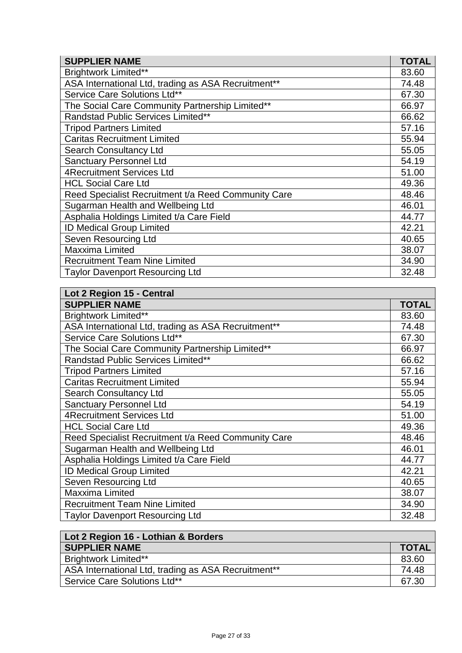| <b>SUPPLIER NAME</b>                                | <b>TOTAL</b> |
|-----------------------------------------------------|--------------|
| <b>Brightwork Limited**</b>                         | 83.60        |
| ASA International Ltd, trading as ASA Recruitment** | 74.48        |
| Service Care Solutions Ltd**                        | 67.30        |
| The Social Care Community Partnership Limited**     | 66.97        |
| Randstad Public Services Limited**                  | 66.62        |
| <b>Tripod Partners Limited</b>                      | 57.16        |
| <b>Caritas Recruitment Limited</b>                  | 55.94        |
| <b>Search Consultancy Ltd</b>                       | 55.05        |
| <b>Sanctuary Personnel Ltd</b>                      | 54.19        |
| <b>4Recruitment Services Ltd</b>                    | 51.00        |
| <b>HCL Social Care Ltd</b>                          | 49.36        |
| Reed Specialist Recruitment t/a Reed Community Care | 48.46        |
| Sugarman Health and Wellbeing Ltd                   | 46.01        |
| Asphalia Holdings Limited t/a Care Field            | 44.77        |
| <b>ID Medical Group Limited</b>                     | 42.21        |
| Seven Resourcing Ltd                                | 40.65        |
| Maxxima Limited                                     | 38.07        |
| <b>Recruitment Team Nine Limited</b>                | 34.90        |
| <b>Taylor Davenport Resourcing Ltd</b>              | 32.48        |

| Lot 2 Region 15 - Central                           |              |
|-----------------------------------------------------|--------------|
| <b>SUPPLIER NAME</b>                                | <b>TOTAL</b> |
| <b>Brightwork Limited**</b>                         | 83.60        |
| ASA International Ltd, trading as ASA Recruitment** | 74.48        |
| Service Care Solutions Ltd**                        | 67.30        |
| The Social Care Community Partnership Limited**     | 66.97        |
| <b>Randstad Public Services Limited**</b>           | 66.62        |
| <b>Tripod Partners Limited</b>                      | 57.16        |
| <b>Caritas Recruitment Limited</b>                  | 55.94        |
| <b>Search Consultancy Ltd</b>                       | 55.05        |
| <b>Sanctuary Personnel Ltd</b>                      | 54.19        |
| <b>4Recruitment Services Ltd</b>                    | 51.00        |
| <b>HCL Social Care Ltd</b>                          | 49.36        |
| Reed Specialist Recruitment t/a Reed Community Care | 48.46        |
| Sugarman Health and Wellbeing Ltd                   | 46.01        |
| Asphalia Holdings Limited t/a Care Field            | 44.77        |
| <b>ID Medical Group Limited</b>                     | 42.21        |
| Seven Resourcing Ltd                                | 40.65        |
| <b>Maxxima Limited</b>                              | 38.07        |
| <b>Recruitment Team Nine Limited</b>                | 34.90        |
| <b>Taylor Davenport Resourcing Ltd</b>              | 32.48        |

| Lot 2 Region 16 - Lothian & Borders                 |              |
|-----------------------------------------------------|--------------|
| <b>SUPPLIER NAME</b>                                | <b>TOTAL</b> |
| <b>Brightwork Limited**</b>                         | 83.60        |
| ASA International Ltd, trading as ASA Recruitment** | 74.48        |
| Service Care Solutions Ltd**                        | 67.30        |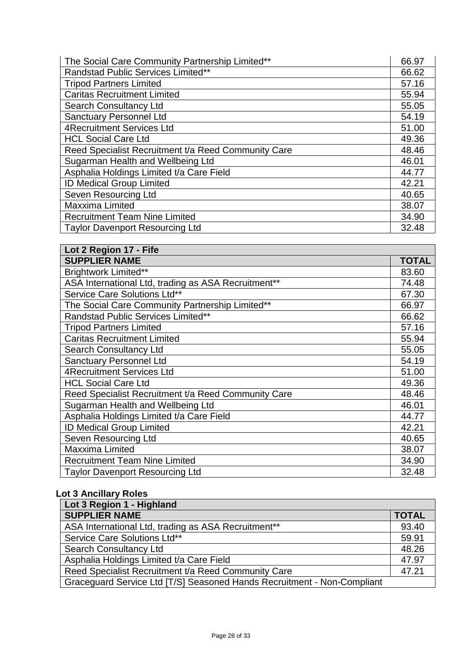| The Social Care Community Partnership Limited**     | 66.97 |
|-----------------------------------------------------|-------|
| Randstad Public Services Limited**                  | 66.62 |
| <b>Tripod Partners Limited</b>                      | 57.16 |
| <b>Caritas Recruitment Limited</b>                  | 55.94 |
| <b>Search Consultancy Ltd</b>                       | 55.05 |
| <b>Sanctuary Personnel Ltd</b>                      | 54.19 |
| <b>4Recruitment Services Ltd</b>                    | 51.00 |
| <b>HCL Social Care Ltd</b>                          | 49.36 |
| Reed Specialist Recruitment t/a Reed Community Care | 48.46 |
| Sugarman Health and Wellbeing Ltd                   | 46.01 |
| Asphalia Holdings Limited t/a Care Field            | 44.77 |
| <b>ID Medical Group Limited</b>                     | 42.21 |
| Seven Resourcing Ltd                                | 40.65 |
| Maxxima Limited                                     | 38.07 |
| <b>Recruitment Team Nine Limited</b>                | 34.90 |
| <b>Taylor Davenport Resourcing Ltd</b>              | 32.48 |

| Lot 2 Region 17 - Fife                              |       |
|-----------------------------------------------------|-------|
| <b>SUPPLIER NAME</b>                                | TOTAL |
| <b>Brightwork Limited**</b>                         | 83.60 |
| ASA International Ltd, trading as ASA Recruitment** | 74.48 |
| Service Care Solutions Ltd**                        | 67.30 |
| The Social Care Community Partnership Limited**     | 66.97 |
| <b>Randstad Public Services Limited**</b>           | 66.62 |
| <b>Tripod Partners Limited</b>                      | 57.16 |
| <b>Caritas Recruitment Limited</b>                  | 55.94 |
| <b>Search Consultancy Ltd</b>                       | 55.05 |
| <b>Sanctuary Personnel Ltd</b>                      | 54.19 |
| <b>4Recruitment Services Ltd</b>                    | 51.00 |
| <b>HCL Social Care Ltd</b>                          | 49.36 |
| Reed Specialist Recruitment t/a Reed Community Care | 48.46 |
| Sugarman Health and Wellbeing Ltd                   | 46.01 |
| Asphalia Holdings Limited t/a Care Field            | 44.77 |
| <b>ID Medical Group Limited</b>                     | 42.21 |
| Seven Resourcing Ltd                                | 40.65 |
| <b>Maxxima Limited</b>                              | 38.07 |
| <b>Recruitment Team Nine Limited</b>                | 34.90 |
| <b>Taylor Davenport Resourcing Ltd</b>              | 32.48 |

## **Lot 3 Ancillary Roles**

| Lot 3 Region 1 - Highland                                               |              |
|-------------------------------------------------------------------------|--------------|
| <b>SUPPLIER NAME</b>                                                    | <b>TOTAL</b> |
| ASA International Ltd, trading as ASA Recruitment**                     | 93.40        |
| Service Care Solutions Ltd**                                            | 59.91        |
| <b>Search Consultancy Ltd</b>                                           | 48.26        |
| Asphalia Holdings Limited t/a Care Field                                | 47.97        |
| Reed Specialist Recruitment t/a Reed Community Care                     | 47.21        |
| Graceguard Service Ltd [T/S] Seasoned Hands Recruitment - Non-Compliant |              |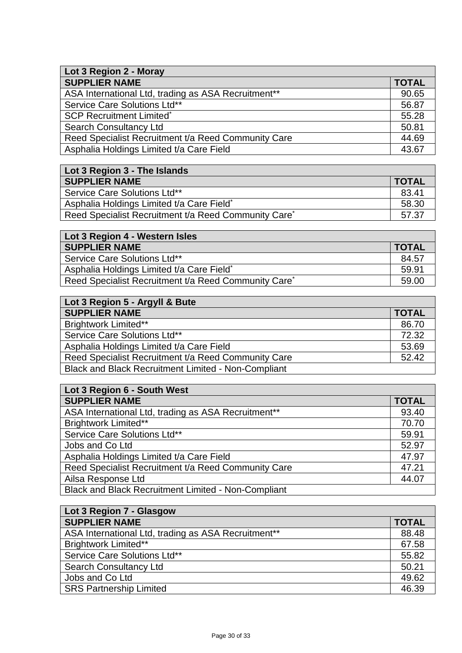| Lot 3 Region 2 - Moray                              |              |
|-----------------------------------------------------|--------------|
| <b>SUPPLIER NAME</b>                                | <b>TOTAL</b> |
| ASA International Ltd, trading as ASA Recruitment** | 90.65        |
| Service Care Solutions Ltd**                        | 56.87        |
| <b>SCP Recruitment Limited*</b>                     | 55.28        |
| Search Consultancy Ltd                              | 50.81        |
| Reed Specialist Recruitment t/a Reed Community Care | 44.69        |
| Asphalia Holdings Limited t/a Care Field            | 43.67        |

| Lot 3 Region 3 - The Islands                                     |              |
|------------------------------------------------------------------|--------------|
| <b>SUPPLIER NAME</b>                                             | <b>TOTAL</b> |
| Service Care Solutions Ltd**                                     | 83.41        |
| Asphalia Holdings Limited t/a Care Field*                        | 58.30        |
| Reed Specialist Recruitment t/a Reed Community Care <sup>*</sup> | 57.37        |

| Lot 3 Region 4 - Western Isles                       |              |
|------------------------------------------------------|--------------|
| <b>SUPPLIER NAME</b>                                 | <b>TOTAL</b> |
| Service Care Solutions Ltd**                         | 84.57        |
| Asphalia Holdings Limited t/a Care Field*            | 59.91        |
| Reed Specialist Recruitment t/a Reed Community Care* | 59.00        |

| Lot 3 Region 5 - Argyll & Bute                             |              |
|------------------------------------------------------------|--------------|
| <b>SUPPLIER NAME</b>                                       | <b>TOTAL</b> |
| <b>Brightwork Limited**</b>                                | 86.70        |
| Service Care Solutions Ltd**                               | 72.32        |
| Asphalia Holdings Limited t/a Care Field                   | 53.69        |
| Reed Specialist Recruitment t/a Reed Community Care        | 52.42        |
| <b>Black and Black Recruitment Limited - Non-Compliant</b> |              |

| Lot 3 Region 6 - South West                                |              |
|------------------------------------------------------------|--------------|
| <b>SUPPLIER NAME</b>                                       | <b>TOTAL</b> |
| ASA International Ltd, trading as ASA Recruitment**        | 93.40        |
| <b>Brightwork Limited**</b>                                | 70.70        |
| Service Care Solutions Ltd**                               | 59.91        |
| Jobs and Co Ltd                                            | 52.97        |
| Asphalia Holdings Limited t/a Care Field                   | 47.97        |
| Reed Specialist Recruitment t/a Reed Community Care        | 47.21        |
| Ailsa Response Ltd                                         | 44.07        |
| <b>Black and Black Recruitment Limited - Non-Compliant</b> |              |

| Lot 3 Region 7 - Glasgow                            |              |
|-----------------------------------------------------|--------------|
| <b>SUPPLIER NAME</b>                                | <b>TOTAL</b> |
| ASA International Ltd, trading as ASA Recruitment** | 88.48        |
| <b>Brightwork Limited**</b>                         | 67.58        |
| Service Care Solutions Ltd**                        | 55.82        |
| <b>Search Consultancy Ltd</b>                       | 50.21        |
| Jobs and Co Ltd                                     | 49.62        |
| <b>SRS Partnership Limited</b>                      | 46.39        |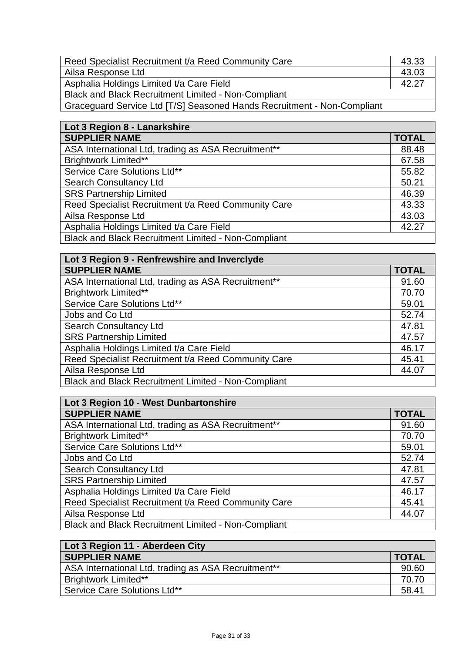| Reed Specialist Recruitment t/a Reed Community Care        | 43.33 |
|------------------------------------------------------------|-------|
| Ailsa Response Ltd                                         | 43.03 |
| Asphalia Holdings Limited t/a Care Field                   | 42.27 |
| <b>Black and Black Recruitment Limited - Non-Compliant</b> |       |

Graceguard Service Ltd [T/S] Seasoned Hands Recruitment - Non-Compliant

| Lot 3 Region 8 - Lanarkshire                               |              |
|------------------------------------------------------------|--------------|
| <b>SUPPLIER NAME</b>                                       | <b>TOTAL</b> |
| ASA International Ltd, trading as ASA Recruitment**        | 88.48        |
| <b>Brightwork Limited**</b>                                | 67.58        |
| Service Care Solutions Ltd**                               | 55.82        |
| <b>Search Consultancy Ltd</b>                              | 50.21        |
| <b>SRS Partnership Limited</b>                             | 46.39        |
| Reed Specialist Recruitment t/a Reed Community Care        | 43.33        |
| Ailsa Response Ltd                                         | 43.03        |
| Asphalia Holdings Limited t/a Care Field                   | 42.27        |
| <b>Black and Black Recruitment Limited - Non-Compliant</b> |              |

| Lot 3 Region 9 - Renfrewshire and Inverclyde               |              |
|------------------------------------------------------------|--------------|
| <b>SUPPLIER NAME</b>                                       | <b>TOTAL</b> |
| ASA International Ltd, trading as ASA Recruitment**        | 91.60        |
| <b>Brightwork Limited**</b>                                | 70.70        |
| Service Care Solutions Ltd**                               | 59.01        |
| Jobs and Co Ltd                                            | 52.74        |
| <b>Search Consultancy Ltd</b>                              | 47.81        |
| <b>SRS Partnership Limited</b>                             | 47.57        |
| Asphalia Holdings Limited t/a Care Field                   | 46.17        |
| Reed Specialist Recruitment t/a Reed Community Care        | 45.41        |
| Ailsa Response Ltd                                         | 44.07        |
| <b>Black and Black Recruitment Limited - Non-Compliant</b> |              |

| Lot 3 Region 10 - West Dunbartonshire                      |              |
|------------------------------------------------------------|--------------|
| <b>SUPPLIER NAME</b>                                       | <b>TOTAL</b> |
| ASA International Ltd, trading as ASA Recruitment**        | 91.60        |
| <b>Brightwork Limited**</b>                                | 70.70        |
| Service Care Solutions Ltd**                               | 59.01        |
| Jobs and Co Ltd                                            | 52.74        |
| <b>Search Consultancy Ltd</b>                              | 47.81        |
| <b>SRS Partnership Limited</b>                             | 47.57        |
| Asphalia Holdings Limited t/a Care Field                   | 46.17        |
| Reed Specialist Recruitment t/a Reed Community Care        | 45.41        |
| Ailsa Response Ltd                                         | 44.07        |
| <b>Black and Black Recruitment Limited - Non-Compliant</b> |              |

| Lot 3 Region 11 - Aberdeen City                                 |              |
|-----------------------------------------------------------------|--------------|
| <b>SUPPLIER NAME</b>                                            | <b>TOTAL</b> |
| ASA International Ltd, trading as ASA Recruitment <sup>**</sup> | 90.60        |
| <b>Brightwork Limited**</b>                                     | 70.70        |
| Service Care Solutions Ltd**                                    | 58.41        |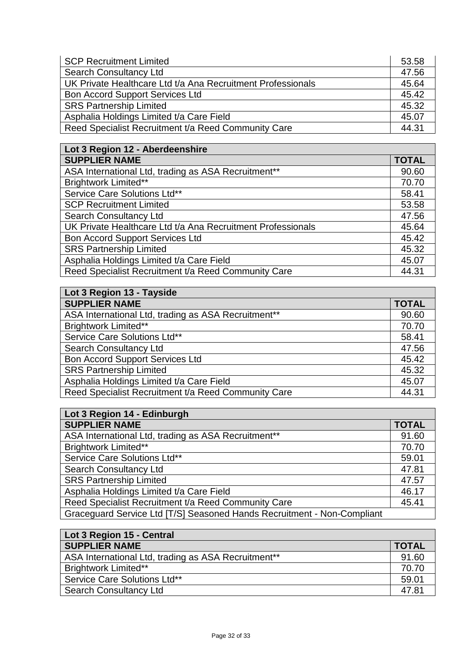| <b>SCP Recruitment Limited</b>                              | 53.58 |
|-------------------------------------------------------------|-------|
| <b>Search Consultancy Ltd</b>                               | 47.56 |
| UK Private Healthcare Ltd t/a Ana Recruitment Professionals | 45.64 |
| <b>Bon Accord Support Services Ltd</b>                      | 45.42 |
| <b>SRS Partnership Limited</b>                              | 45.32 |
| Asphalia Holdings Limited t/a Care Field                    | 45.07 |
| Reed Specialist Recruitment t/a Reed Community Care         | 44.31 |

| Lot 3 Region 12 - Aberdeenshire                             |              |
|-------------------------------------------------------------|--------------|
| <b>SUPPLIER NAME</b>                                        | <b>TOTAL</b> |
| ASA International Ltd, trading as ASA Recruitment**         | 90.60        |
| <b>Brightwork Limited**</b>                                 | 70.70        |
| Service Care Solutions Ltd**                                | 58.41        |
| <b>SCP Recruitment Limited</b>                              | 53.58        |
| <b>Search Consultancy Ltd</b>                               | 47.56        |
| UK Private Healthcare Ltd t/a Ana Recruitment Professionals | 45.64        |
| <b>Bon Accord Support Services Ltd</b>                      | 45.42        |
| <b>SRS Partnership Limited</b>                              | 45.32        |
| Asphalia Holdings Limited t/a Care Field                    | 45.07        |
| Reed Specialist Recruitment t/a Reed Community Care         | 44.31        |

| Lot 3 Region 13 - Tayside                           |              |
|-----------------------------------------------------|--------------|
| <b>SUPPLIER NAME</b>                                | <b>TOTAL</b> |
| ASA International Ltd, trading as ASA Recruitment** | 90.60        |
| <b>Brightwork Limited**</b>                         | 70.70        |
| Service Care Solutions Ltd**                        | 58.41        |
| <b>Search Consultancy Ltd</b>                       | 47.56        |
| <b>Bon Accord Support Services Ltd</b>              | 45.42        |
| <b>SRS Partnership Limited</b>                      | 45.32        |
| Asphalia Holdings Limited t/a Care Field            | 45.07        |
| Reed Specialist Recruitment t/a Reed Community Care | 44.31        |

| Lot 3 Region 14 - Edinburgh                                             |              |
|-------------------------------------------------------------------------|--------------|
| <b>SUPPLIER NAME</b>                                                    | <b>TOTAL</b> |
| ASA International Ltd, trading as ASA Recruitment**                     | 91.60        |
| <b>Brightwork Limited**</b>                                             | 70.70        |
| Service Care Solutions Ltd**                                            | 59.01        |
| <b>Search Consultancy Ltd</b>                                           | 47.81        |
| <b>SRS Partnership Limited</b>                                          | 47.57        |
| Asphalia Holdings Limited t/a Care Field                                | 46.17        |
| Reed Specialist Recruitment t/a Reed Community Care                     | 45.41        |
| Graceguard Service Ltd [T/S] Seasoned Hands Recruitment - Non-Compliant |              |

| Lot 3 Region 15 - Central                           |              |
|-----------------------------------------------------|--------------|
| <b>SUPPLIER NAME</b>                                | <b>TOTAL</b> |
| ASA International Ltd, trading as ASA Recruitment** | 91.60        |
| <b>Brightwork Limited**</b>                         | 70.70        |
| Service Care Solutions Ltd**                        | 59.01        |
| <b>Search Consultancy Ltd</b>                       | 47.81        |